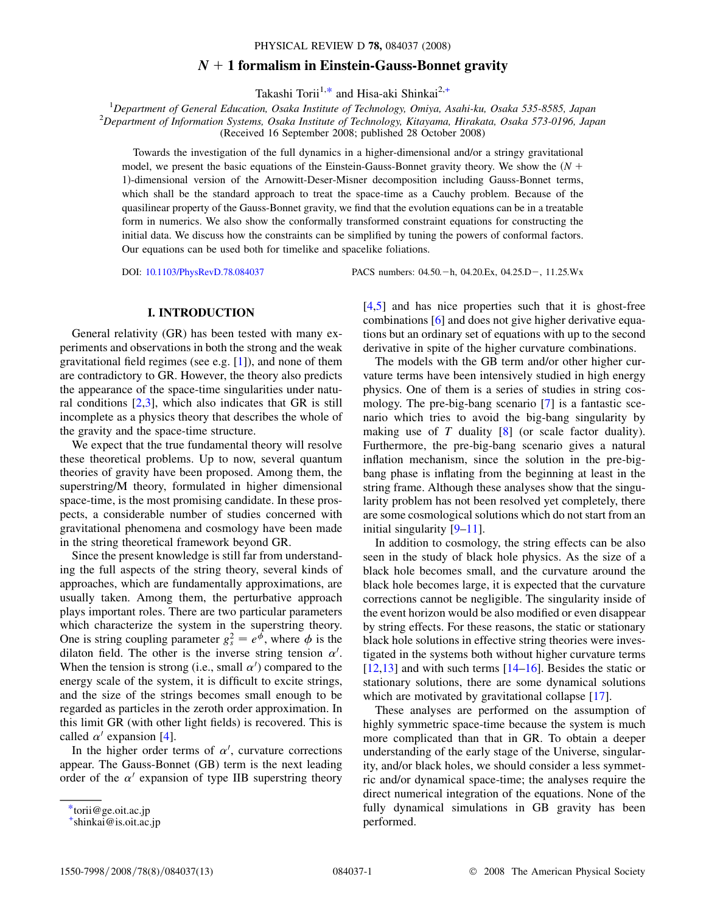# $N + 1$  formalism in Einstein-Gauss-Bonnet gravity

Takashi Torii<sup>1,\*</sup> and Hisa-aki Shinkai<sup>2,+</sup>

<sup>1</sup>Department of General Education, Osaka Institute of Technology, Omiya, Asahi-ku, Osaka 535-8585, Japan <sup>2</sup>Department of Information Systems, Osaka Institute of Technology, Vitayama, Hirakata, Osaka 573, 0106, Japan  $^{2}$ Department of Information Systems, Osaka Institute of Technology, Kitayama, Hirakata, Osaka 573-0196, Japan

(Received 16 September 2008; published 28 October 2008)

Towards the investigation of the full dynamics in a higher-dimensional and/or a stringy gravitational model, we present the basic equations of the Einstein-Gauss-Bonnet gravity theory. We show the  $(N +$ <sup>1</sup>Þ-dimensional version of the Arnowitt-Deser-Misner decomposition including Gauss-Bonnet terms, which shall be the standard approach to treat the space-time as a Cauchy problem. Because of the quasilinear property of the Gauss-Bonnet gravity, we find that the evolution equations can be in a treatable form in numerics. We also show the conformally transformed constraint equations for constructing the initial data. We discuss how the constraints can be simplified by tuning the powers of conformal factors. Our equations can be used both for timelike and spacelike foliations.

DOI: [10.1103/PhysRevD.78.084037](http://dx.doi.org/10.1103/PhysRevD.78.084037) PACS numbers: 04.50. h, 04.20.Ex, 04.25.D -, 11.25.Wx

#### I. INTRODUCTION

General relativity (GR) has been tested with many experiments and observations in both the strong and the weak gravitational field regimes (see e.g. [1]), and none of them are contradictory to GR. However, the theory also predicts the appearance of the space-time singularities under natural conditions  $[2,3]$ , which also indicates that GR is still incomplete as a physics theory that describes the whole of the gravity and the space-time structure.

We expect that the true fundamental theory will resolve these theoretical problems. Up to now, several quantum theories of gravity have been proposed. Among them, the superstring/M theory, formulated in higher dimensional space-time, is the most promising candidate. In these prospects, a considerable number of studies concerned with gravitational phenomena and cosmology have been made in the string theoretical framework beyond GR.

Since the present knowledge is still far from understanding the full aspects of the string theory, several kinds of approaches, which are fundamentally approximations, are usually taken. Among them, the perturbative approach plays important roles. There are two particular parameters which characterize the system in the superstring theory. One is string coupling parameter  $g_s^2 = e^{\phi}$ , where  $\phi$  is the dilaton field. The other is the inverse string tension  $\alpha'$ dilaton field. The other is the inverse string tension  $\alpha'$ . When the tension is strong (i.e., small  $\alpha'$ ) compared to the energy scale of the system, it is difficult to excite strings, and the size of the strings becomes small enough to be regarded as particles in the zeroth order approximation. In this limit GR (with other light fields) is recovered. This is called  $\alpha'$  expansion [4].

In the higher order terms of  $\alpha'$ , curvature corrections appear. The Gauss-Bonnet (GB) term is the next leading order of the  $\alpha'$  expansion of type IIB superstring theory [4,5] and has nice properties such that it is ghost-free combinations [6] and does not give higher derivative equations but an ordinary set of equations with up to the second derivative in spite of the higher curvature combinations.

The models with the GB term and/or other higher curvature terms have been intensively studied in high energy physics. One of them is a series of studies in string cosmology. The pre-big-bang scenario [7] is a fantastic scenario which tries to avoid the big-bang singularity by making use of T duality  $[8]$  (or scale factor duality). Furthermore, the pre-big-bang scenario gives a natural inflation mechanism, since the solution in the pre-bigbang phase is inflating from the beginning at least in the string frame. Although these analyses show that the singularity problem has not been resolved yet completely, there are some cosmological solutions which do not start from an initial singularity [9–11].

In addition to cosmology, the string effects can be also seen in the study of black hole physics. As the size of a black hole becomes small, and the curvature around the black hole becomes large, it is expected that the curvature corrections cannot be negligible. The singularity inside of the event horizon would be also modified or even disappear by string effects. For these reasons, the static or stationary black hole solutions in effective string theories were investigated in the systems both without higher curvature terms  $[12,13]$  and with such terms  $[14–16]$ . Besides the static or stationary solutions, there are some dynamical solutions which are motivated by gravitational collapse [17].

These analyses are performed on the assumption of highly symmetric space-time because the system is much more complicated than that in GR. To obtain a deeper understanding of the early stage of the Universe, singularity, and/or black holes, we should consider a less symmetric and/or dynamical space-time; the analyses require the direct numerical integration of the equations. None of the fully dynamical simulations in GB gravity has been performed.

<sup>\*</sup>torii@ge.oit.ac.jp

<sup>+</sup> shinkai@is.oit.ac.jp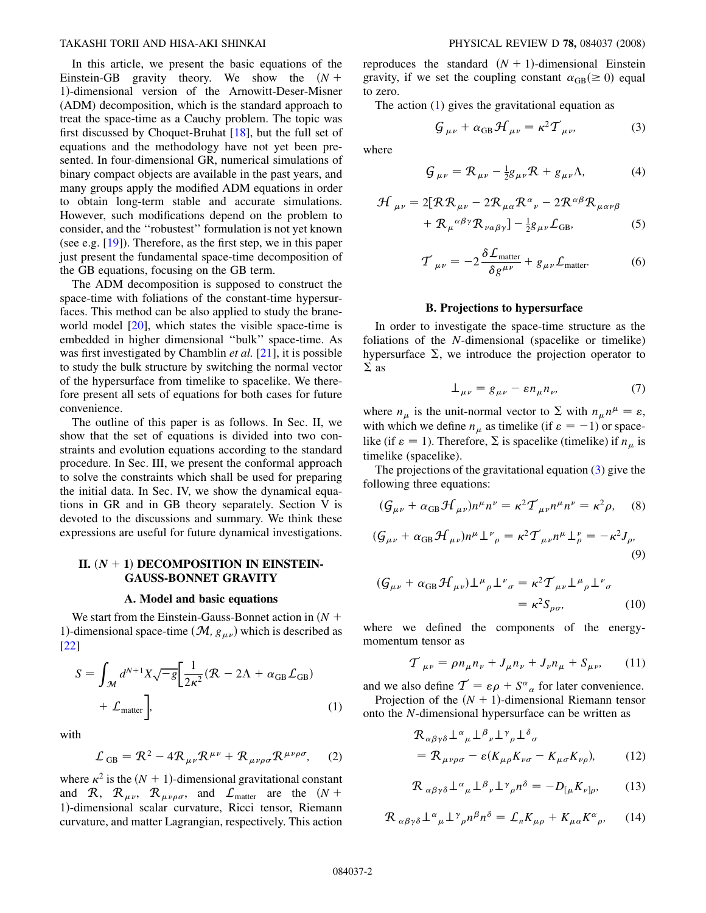<span id="page-1-3"></span>In this article, we present the basic equations of the Einstein-GB gravity theory. We show the  $(N +$ <sup>1</sup>Þ-dimensional version of the Arnowitt-Deser-Misner (ADM) decomposition, which is the standard approach to treat the space-time as a Cauchy problem. The topic was first discussed by Choquet-Bruhat [18], but the full set of equations and the methodology have not yet been presented. In four-dimensional GR, numerical simulations of binary compact objects are available in the past years, and many groups apply the modified ADM equations in order to obtain long-term stable and accurate simulations. However, such modifications depend on the problem to consider, and the ''robustest'' formulation is not yet known (see e.g. [19]). Therefore, as the first step, we in this paper just present the fundamental space-time decomposition of the GB equations, focusing on the GB term.

The ADM decomposition is supposed to construct the space-time with foliations of the constant-time hypersurfaces. This method can be also applied to study the braneworld model [20], which states the visible space-time is embedded in higher dimensional ''bulk'' space-time. As was first investigated by Chamblin  $et$  al.  $[21]$ , it is possible to study the bulk structure by switching the normal vector of the hypersurface from timelike to spacelike. We therefore present all sets of equations for both cases for future convenience.

The outline of this paper is as follows. In Sec. II, we show that the set of equations is divided into two constraints and evolution equations according to the standard procedure. In Sec. III, we present the conformal approach to solve the constraints which shall be used for preparing the initial data. In Sec. IV, we show the dynamical equations in GR and in GB theory separately. Section V is devoted to the discussions and summary. We think these expressions are useful for future dynamical investigations.

# II.  $(N + 1)$  DECOMPOSITION IN EINSTEIN-GAUSS-BONNET GRAVITY

#### A. Model and basic equations

We start from the Einstein-Gauss-Bonnet action in  $(N +$ 1)-dimensional space-time  $(\mathcal{M}, g_{\mu\nu})$  which is described as [22]

<span id="page-1-0"></span>
$$
S = \int_{\mathcal{M}} d^{N+1} X \sqrt{-g} \left[ \frac{1}{2\kappa^2} (\mathcal{R} - 2\Lambda + \alpha_{GB} \mathcal{L}_{GB}) + \mathcal{L}_{matter} \right],
$$
 (1)

with

$$
\mathcal{L}_{GB} = \mathcal{R}^2 - 4\mathcal{R}_{\mu\nu}\mathcal{R}^{\mu\nu} + \mathcal{R}_{\mu\nu\rho\sigma}\mathcal{R}^{\mu\nu\rho\sigma}, \quad (2)
$$

where  $\kappa^2$  is the  $(N + 1)$ -dimensional gravitational constant and R,  $\mathcal{R}_{\mu\nu}$ ,  $\mathcal{R}_{\mu\nu\rho\sigma}$ , and  $\mathcal{L}_{\text{matter}}$  are the  $(N + \sigma)$ <sup>1</sup>Þ-dimensional scalar curvature, Ricci tensor, Riemann curvature, and matter Lagrangian, respectively. This action reproduces the standard  $(N + 1)$ -dimensional Einstein gravity, if we set the coupling constant  $\alpha_{GB} (\ge 0)$  equal to zero to zero.

<span id="page-1-1"></span>The action  $(1)$  $(1)$  $(1)$  gives the gravitational equation as

$$
\mathcal{G}_{\mu\nu} + \alpha_{\text{GB}} \mathcal{H}_{\mu\nu} = \kappa^2 \mathcal{T}_{\mu\nu},\tag{3}
$$

where

$$
\mathcal{G}_{\mu\nu} = \mathcal{R}_{\mu\nu} - \frac{1}{2}g_{\mu\nu}\mathcal{R} + g_{\mu\nu}\Lambda,\tag{4}
$$

$$
\mathcal{H}_{\mu\nu} = 2[R\mathcal{R}_{\mu\nu} - 2\mathcal{R}_{\mu\alpha}\mathcal{R}^{\alpha}{}_{\nu} - 2\mathcal{R}^{\alpha\beta}\mathcal{R}_{\mu\alpha\nu\beta} \n+ \mathcal{R}_{\mu}^{\alpha\beta\gamma}\mathcal{R}_{\nu\alpha\beta\gamma}] - \frac{1}{2}g_{\mu\nu}\mathcal{L}_{GB},
$$
\n(5)

$$
\mathcal{T}_{\mu\nu} = -2 \frac{\delta \mathcal{L}_{\text{matter}}}{\delta g^{\mu\nu}} + g_{\mu\nu} \mathcal{L}_{\text{matter}}.
$$
 (6)

#### B. Projections to hypersurface

In order to investigate the space-time structure as the foliations of the N-dimensional (spacelike or timelike) hypersurface  $\Sigma$ , we introduce the projection operator to  $\Sigma$  as

$$
\perp_{\mu\nu} = g_{\mu\nu} - \varepsilon n_{\mu} n_{\nu},\tag{7}
$$

where  $n_{\mu}$  is the unit-normal vector to  $\Sigma$  with  $n_{\mu}n^{\mu} = \varepsilon$ ,<br>with which we define  $n_{\mu}$  as timelike (if  $\varepsilon = -1$ ) or space. with which we define  $n_{\mu}$  as timelike (if  $\varepsilon = -1$ ) or spacelike (if  $\varepsilon = 1$ ). Therefore,  $\Sigma$  is spacelike (timelike) if  $n_{\mu}$  is timelike (spacelike) timelike (spacelike).

The projections of the gravitational equation  $(3)$  $(3)$  give the following three equations:

<span id="page-1-4"></span>
$$
(\mathcal{G}_{\mu\nu} + \alpha_{\text{GB}} \mathcal{H}_{\mu\nu})n^{\mu}n^{\nu} = \kappa^2 \mathcal{T}_{\mu\nu}n^{\mu}n^{\nu} = \kappa^2 \rho, \quad (8)
$$

$$
(\mathcal{G}_{\mu\nu} + \alpha_{\text{GB}} \mathcal{H}_{\mu\nu})n^{\mu} \perp^{\nu}{}_{\rho} = \kappa^2 \mathcal{T}_{\mu\nu}n^{\mu} \perp^{\nu}_{\rho} = -\kappa^2 J_{\rho},\tag{9}
$$

$$
(G_{\mu\nu} + \alpha_{GB} \mathcal{H}_{\mu\nu}) \perp^{\mu}{}_{\rho} \perp^{\nu}{}_{\sigma} = \kappa^2 \mathcal{T}_{\mu\nu} \perp^{\mu}{}_{\rho} \perp^{\nu}{}_{\sigma}
$$

$$
= \kappa^2 S_{\rho\sigma}, \qquad (10)
$$

where we defined the components of the energymomentum tensor as

$$
\mathcal{T}_{\mu\nu} = \rho n_{\mu} n_{\nu} + J_{\mu} n_{\nu} + J_{\nu} n_{\mu} + S_{\mu\nu}, \qquad (11)
$$

and we also define  $\mathcal{T} = \varepsilon \rho + S^{\alpha}{}_{\alpha}$  for later convenience.<br>Projection of the  $(N + 1)$ -dimensional Riemann tensor

<span id="page-1-2"></span>Projection of the  $(N + 1)$ -dimensional Riemann tensor onto the N-dimensional hypersurface can be written as

$$
\mathcal{R}_{\alpha\beta\gamma\delta} \perp^{\alpha}{}_{\mu} \perp^{\beta}{}_{\nu} \perp^{\gamma}{}_{\rho} \perp^{\delta}{}_{\sigma} \n= \mathcal{R}_{\mu\nu\rho\sigma} - \varepsilon (K_{\mu\rho} K_{\nu\sigma} - K_{\mu\sigma} K_{\nu\rho}), \qquad (12)
$$

<span id="page-1-5"></span>
$$
\mathcal{R}_{\alpha\beta\gamma\delta} \perp^{\alpha}{}_{\mu} \perp^{\beta}{}_{\nu} \perp^{\gamma}{}_{\rho} n^{\delta} = -D_{[\mu} K_{\nu]\rho},\tag{13}
$$

$$
\mathcal{R}_{\alpha\beta\gamma\delta} \perp^{\alpha} \perp^{\gamma}{}_{\rho} n^{\beta} n^{\delta} = \mathcal{L}_{n} K_{\mu\rho} + K_{\mu\alpha} K^{\alpha}{}_{\rho}, \qquad (14)
$$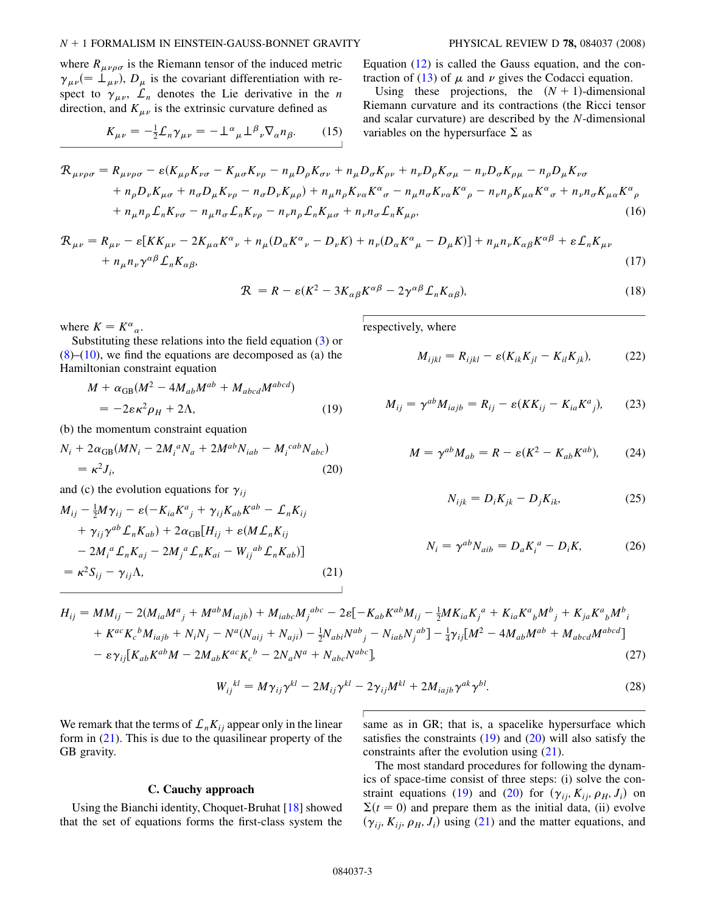where  $R_{\mu\nu\rho\sigma}$  is the Riemann tensor of the induced metric  $\gamma_{\mu\nu}$  (=  $\perp_{\mu\nu}$ ),  $D_{\mu}$  is the covariant differentiation with respect to  $\gamma_{\mu\nu}$ ,  $\mathcal{L}_n$  denotes the Lie derivative in the *n* direction, and  $K_{\mu\nu}$  is the extrinsic curvature defined as

$$
K_{\mu\nu} = -\frac{1}{2}\mathcal{L}_n \gamma_{\mu\nu} = -\perp^{\alpha}{}_{\mu}\perp^{\beta}{}_{\nu}\nabla_{\alpha}n_{\beta}.
$$
 (15)

Equation (12) is called the Gauss equation, and the con-traction of [\(13\)](#page-1-2) of  $\mu$  and  $\nu$  gives the Codacci equation.

Using these projections, the  $(N + 1)$ -dimensional Riemann curvature and its contractions (the Ricci tensor and scalar curvature) are described by the N-dimensional variables on the hypersurface  $\Sigma$  as

<span id="page-2-3"></span>
$$
\mathcal{R}_{\mu\nu\rho\sigma} = R_{\mu\nu\rho\sigma} - \varepsilon (K_{\mu\rho}K_{\nu\sigma} - K_{\mu\sigma}K_{\nu\rho} - n_{\mu}D_{\rho}K_{\sigma\nu} + n_{\mu}D_{\sigma}K_{\rho\nu} + n_{\nu}D_{\rho}K_{\sigma\mu} - n_{\nu}D_{\sigma}K_{\rho\mu} - n_{\rho}D_{\mu}K_{\nu\sigma} \n+ n_{\rho}D_{\nu}K_{\mu\sigma} + n_{\sigma}D_{\mu}K_{\nu\rho} - n_{\sigma}D_{\nu}K_{\mu\rho}) + n_{\mu}n_{\rho}K_{\nu\alpha}K^{\alpha}{}_{\sigma} - n_{\mu}n_{\sigma}K_{\nu\alpha}K^{\alpha}{}_{\rho} - n_{\nu}n_{\rho}K_{\mu\alpha}K^{\alpha}{}_{\sigma} + n_{\nu}n_{\sigma}K_{\mu\alpha}K^{\alpha}{}_{\rho} \n+ n_{\mu}n_{\rho}L_{\eta}K_{\nu\sigma} - n_{\mu}n_{\sigma}L_{\eta}K_{\nu\rho} - n_{\nu}n_{\rho}L_{\eta}K_{\mu\sigma} + n_{\nu}n_{\sigma}L_{\eta}K_{\mu\rho},
$$
\n(16)

<span id="page-2-4"></span>
$$
\mathcal{R}_{\mu\nu} = R_{\mu\nu} - \varepsilon [KK_{\mu\nu} - 2K_{\mu\alpha}K^{\alpha}{}_{\nu} + n_{\mu}(D_{\alpha}K^{\alpha}{}_{\nu} - D_{\nu}K) + n_{\nu}(D_{\alpha}K^{\alpha}{}_{\mu} - D_{\mu}K)] + n_{\mu}n_{\nu}K_{\alpha\beta}K^{\alpha\beta} + \varepsilon \mathcal{L}_{n}K_{\mu\nu} + n_{\mu}n_{\nu}\gamma^{\alpha\beta}\mathcal{L}_{n}K_{\alpha\beta},
$$
\n(17)

$$
\mathcal{R} = R - \varepsilon (K^2 - 3K_{\alpha\beta}K^{\alpha\beta} - 2\gamma^{\alpha\beta}L_nK_{\alpha\beta}),
$$
\n(18)

where  $K = K^{\alpha}{}_{\alpha}$ .<br>Substituting the

<span id="page-2-1"></span>Substituting these relations into the field equation ([3](#page-1-1)) or  $(8)$ – $(10)$  $(10)$  $(10)$ , we find the equations are decomposed as  $(a)$  the Hamiltonian constraint equation

$$
M + \alpha_{GB}(M^2 - 4M_{ab}M^{ab} + M_{abcd}M^{abcd})
$$
  
=  $-2\varepsilon\kappa^2\rho_H + 2\Lambda,$  (19)

<span id="page-2-2"></span>(b) the momentum constraint equation

$$
N_i + 2\alpha_{GB}(MN_i - 2M_i^a N_a + 2M^{ab} N_{iab} - M_i^{cab} N_{abc})
$$
  
=  $\kappa^2 J_i$ , (20)

<span id="page-2-0"></span>and (c) the evolution equations for  $\gamma_{ij}$ 

$$
M_{ij} - \frac{1}{2}M\gamma_{ij} - \varepsilon(-K_{ia}K^a{}_j + \gamma_{ij}K_{ab}K^{ab} - \mathcal{L}_nK_{ij}
$$
  
+  $\gamma_{ij}\gamma^{ab}\mathcal{L}_nK_{ab}$ ) +  $2\alpha_{GB}[H_{ij} + \varepsilon(M\mathcal{L}_nK_{ij} - 2M_i{}^a\mathcal{L}_nK_{aj} - 2M_j{}^a\mathcal{L}_nK_{ai} - W_{ij}{}^{ab}\mathcal{L}_nK_{ab})]$   
=  $\kappa^2S_{ij} - \gamma_{ij}\Lambda,$  (21)

respectively, where

$$
M_{ijkl} = R_{ijkl} - \varepsilon (K_{ik} K_{jl} - K_{il} K_{jk}), \qquad (22)
$$

$$
M_{ij} = \gamma^{ab} M_{iajb} = R_{ij} - \varepsilon (KK_{ij} - K_{ia} K^a{}_j), \qquad (23)
$$

$$
M = \gamma^{ab} M_{ab} = R - \varepsilon (K^2 - K_{ab} K^{ab}), \tag{24}
$$

$$
N_{ijk} = D_i K_{jk} - D_j K_{ik}, \qquad (25)
$$

$$
N_i = \gamma^{ab} N_{aib} = D_a K_i^a - D_i K,\tag{26}
$$

$$
H_{ij} = MM_{ij} - 2(M_{ia}M^{a}{}_{j} + M^{ab}M_{iajb}) + M_{iabc}M_{j}^{abc} - 2\varepsilon[-K_{ab}K^{ab}M_{ij} - \frac{1}{2}MK_{ia}K_{j}^{a} + K_{ia}K^{a}{}_{b}M^{b}{}_{j} + K_{ja}K^{a}{}_{b}M^{b}{}_{i} + K^{ac}K_{c}^{b}M_{iajb} + N_{i}N_{j} - N^{a}(N_{aij} + N_{aji}) - \frac{1}{2}N_{abi}N^{ab}{}_{j} - N_{iab}N_{j}^{ab}] - \frac{1}{4}\gamma_{ij}[M^{2} - 4M_{ab}M^{ab} + M_{abcd}M^{abcd}] - \varepsilon\gamma_{ij}[K_{ab}K^{ab}M - 2M_{ab}K^{ac}K_{c}^{b} - 2N_{a}N^{a} + N_{abc}N^{abc}].
$$
\n(27)

$$
W_{ij}^{kl} = M\gamma_{ij}\gamma^{kl} - 2M_{ij}\gamma^{kl} - 2\gamma_{ij}M^{kl} + 2M_{iajb}\gamma^{ak}\gamma^{bl}.
$$
 (28)

We remark that the terms of  $\mathcal{L}_n K_{ij}$  appear only in the linear form in  $(21)$  $(21)$  $(21)$ . This is due to the quasilinear property of the GB gravity.

# C. Cauchy approach

Using the Bianchi identity, Choquet-Bruhat [18] showed that the set of equations forms the first-class system the same as in GR; that is, a spacelike hypersurface which satisfies the constraints  $(19)$  $(19)$  $(19)$  and  $(20)$  will also satisfy the constraints after the evolution using [\(21\)](#page-2-0).

The most standard procedures for following the dynamics of space-time consist of three steps: (i) solve the con-straint equations [\(19](#page-2-1)) and ([20](#page-2-2)) for  $(\gamma_{ij}, K_{ij}, \rho_H, J_i)$  on  $\Sigma(t=0)$  and prepare them as the initial data, (ii) evolve<br> $(\gamma_t, K_t, \alpha_t, L)$  using (21) and the matter equations and  $(\gamma_{ij}, K_{ij}, \rho_H, J_i)$  using [\(21\)](#page-2-0) and the matter equations, and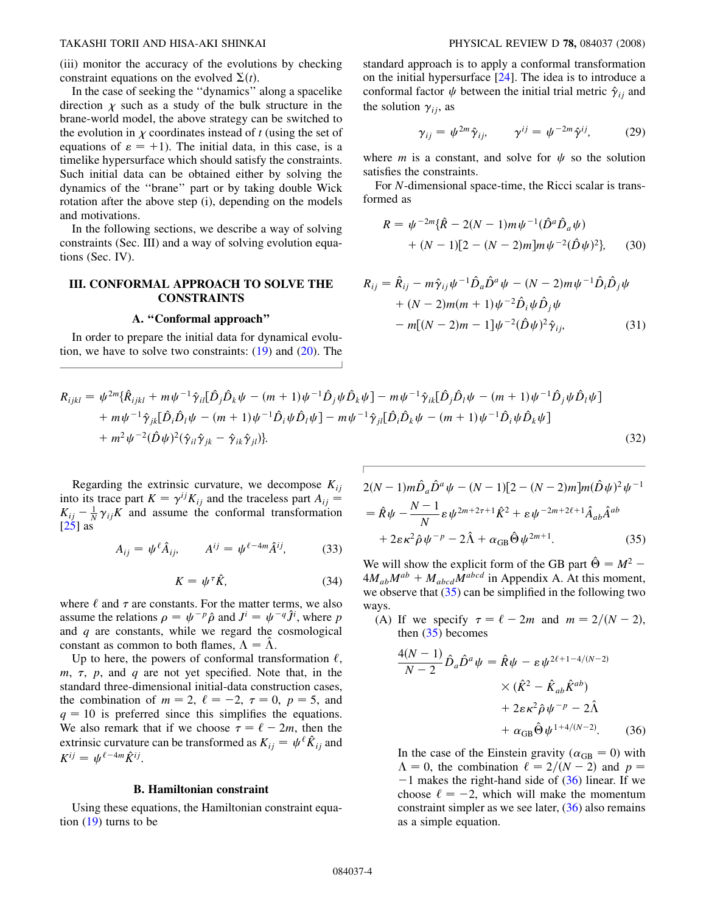(iii) monitor the accuracy of the evolutions by checking constraint equations on the evolved  $\Sigma(t)$ .<br>In the case of seeking the "dynamics"

In the case of seeking the ''dynamics'' along a spacelike direction  $\chi$  such as a study of the bulk structure in the brane-world model, the above strategy can be switched to the evolution in  $\chi$  coordinates instead of t (using the set of equations of  $\varepsilon = +1$ ). The initial data, in this case, is a timelike hypersurface which should satisfy the constraints. Such initial data can be obtained either by solving the dynamics of the ''brane'' part or by taking double Wick rotation after the above step (i), depending on the models and motivations.

In the following sections, we describe a way of solving constraints (Sec. III) and a way of solving evolution equations (Sec. IV).

# III. CONFORMAL APPROACH TO SOLVE THE **CONSTRAINTS**

## A. ''Conformal approach''

In order to prepare the initial data for dynamical evolution, we have to solve two constraints: [\(19\)](#page-2-1) and [\(20\)](#page-2-2). The standard approach is to apply a conformal transformation on the initial hypersurface [24]. The idea is to introduce a conformal factor  $\psi$  between the initial trial metric  $\hat{\gamma}_{ij}$  and the solution  $\gamma_{ij}$ , as

$$
\gamma_{ij} = \psi^{2m} \hat{\gamma}_{ij}, \qquad \gamma^{ij} = \psi^{-2m} \hat{\gamma}^{ij}, \qquad (29)
$$

where *m* is a constant, and solve for  $\psi$  so the solution satisfies the constraints.

For N-dimensional space-time, the Ricci scalar is transformed as

$$
R = \psi^{-2m} \{ \hat{R} - 2(N-1)m\psi^{-1} (\hat{D}^a \hat{D}_a \psi) + (N-1)[2 - (N-2)m]m\psi^{-2} (\hat{D} \psi)^2 \},
$$
 (30)

$$
R_{ij} = \hat{R}_{ij} - m\hat{\gamma}_{ij}\psi^{-1}\hat{D}_a\hat{D}^a\psi - (N-2)m\psi^{-1}\hat{D}_i\hat{D}_j\psi + (N-2)m(m+1)\psi^{-2}\hat{D}_i\psi\hat{D}_j\psi - m[(N-2)m-1]\psi^{-2}(\hat{D}\psi)^2\hat{\gamma}_{ij},
$$
(31)

$$
R_{ijkl} = \psi^{2m} \{ \hat{R}_{ijkl} + m\psi^{-1} \hat{\gamma}_{il} [\hat{D}_j \hat{D}_k \psi - (m+1)\psi^{-1} \hat{D}_j \psi \hat{D}_k \psi] - m\psi^{-1} \hat{\gamma}_{ik} [\hat{D}_j \hat{D}_l \psi - (m+1)\psi^{-1} \hat{D}_j \psi \hat{D}_l \psi] + m\psi^{-1} \hat{\gamma}_{jk} [\hat{D}_i \hat{D}_l \psi - (m+1)\psi^{-1} \hat{D}_i \psi \hat{D}_l \psi] - m\psi^{-1} \hat{\gamma}_{jl} [\hat{D}_i \hat{D}_k \psi - (m+1)\psi^{-1} \hat{D}_i \psi \hat{D}_k \psi] + m^2 \psi^{-2} (\hat{D} \psi)^2 (\hat{\gamma}_{il} \hat{\gamma}_{jk} - \hat{\gamma}_{ik} \hat{\gamma}_{jl}) \}
$$
 (32)

Regarding the extrinsic curvature, we decompose  $K_{ii}$ into its trace part  $K = \gamma^{ij}K_{ij}$  and the traceless part  $A_{ij}$  =  $K_{ij}$  –  $\frac{1}{N} \gamma_{ij} K$  and assume the conformal transformation  $\frac{1}{251}$  as  $[25]$  as

$$
A_{ij} = \psi^{\ell} \hat{A}_{ij}, \qquad A^{ij} = \psi^{\ell - 4m} \hat{A}^{ij}, \tag{33}
$$

$$
K = \psi^{\tau} \hat{K},\tag{34}
$$

where  $\ell$  and  $\tau$  are constants. For the matter terms, we also assume the relations  $\rho = \psi^{-p} \hat{\rho}$  and  $J^i = \psi^{-q} \hat{J}^i$ , where p<br>and *a* are constants, while we regard the cosmological and  $q$  are constants, while we regard the cosmological constant as common to both flames,  $\Lambda = \Lambda$ .

Up to here, the powers of conformal transformation  $\ell$ ,  $m, \tau, p$ , and q are not yet specified. Note that, in the standard three-dimensional initial-data construction cases, the combination of  $m = 2$ ,  $\ell = -2$ ,  $\tau = 0$ ,  $p = 5$ , and  $q = 10$  is preferred since this simplifies the equations. We also remark that if we choose  $\tau = \ell - 2m$ , then the extrinsic curvature can be transformed as  $K_{ii} = \psi^{\ell} \hat{K}_{ii}$  and  $K^{ij} = \psi^{\ell-4m} \hat{K}^{ij}.$ 

## B. Hamiltonian constraint

Using these equations, the Hamiltonian constraint equation ([19](#page-2-1)) turns to be

<span id="page-3-0"></span>
$$
2(N-1)m\hat{D}_a\hat{D}^a\psi - (N-1)[2 - (N-2)m]m(\hat{D}\psi)^2\psi^{-1}
$$
  
=  $\hat{R}\psi - \frac{N-1}{N}\epsilon\psi^{2m+2\tau+1}\hat{K}^2 + \epsilon\psi^{-2m+2\ell+1}\hat{A}_{ab}\hat{A}^{ab}$   
+  $2\epsilon\kappa^2\hat{\rho}\psi^{-p} - 2\hat{\Lambda} + \alpha_{GB}\hat{\Theta}\psi^{2m+1}$ . (35)

We will show the explicit form of the GB part  $\hat{\Theta} = M^2$  –  $4M_{ab}M^{ab} + M_{abcd}M^{abcd}$  in Appendix A. At this moment, we observe that  $(35)$  $(35)$  $(35)$  can be simplified in the following two ways.

<span id="page-3-1"></span>(A) If we specify  $\tau = \ell - 2m$  and  $m = 2/(N - 2)$ , then  $(35)$  $(35)$  $(35)$  becomes

$$
\frac{4(N-1)}{N-2}\hat{D}_a\hat{D}^a\psi = \hat{R}\psi - \varepsilon\psi^{2\ell+1-4/(N-2)}\times(\hat{K}^2 - \hat{K}_{ab}\hat{K}^{ab})+ 2\varepsilon\kappa^2\hat{\rho}\psi^{-p} - 2\hat{\Lambda}+ \alpha_{GB}\hat{\Theta}\psi^{1+4/(N-2)}.
$$
 (36)

In the case of the Einstein gravity ( $\alpha_{GB} = 0$ ) with  $\Lambda = 0$  the combination  $\ell = 2/(N-2)$  and  $n =$  $\Lambda = 0$ , the combination  $\ell = 2/(N - 2)$  and  $p = \ell$  $-1$  makes the right-hand side of [\(36\)](#page-3-1) linear. If we choose  $\ell = -2$ , which will make the momentum constraint simpler as we see later,  $(36)$  also remains as a simple equation.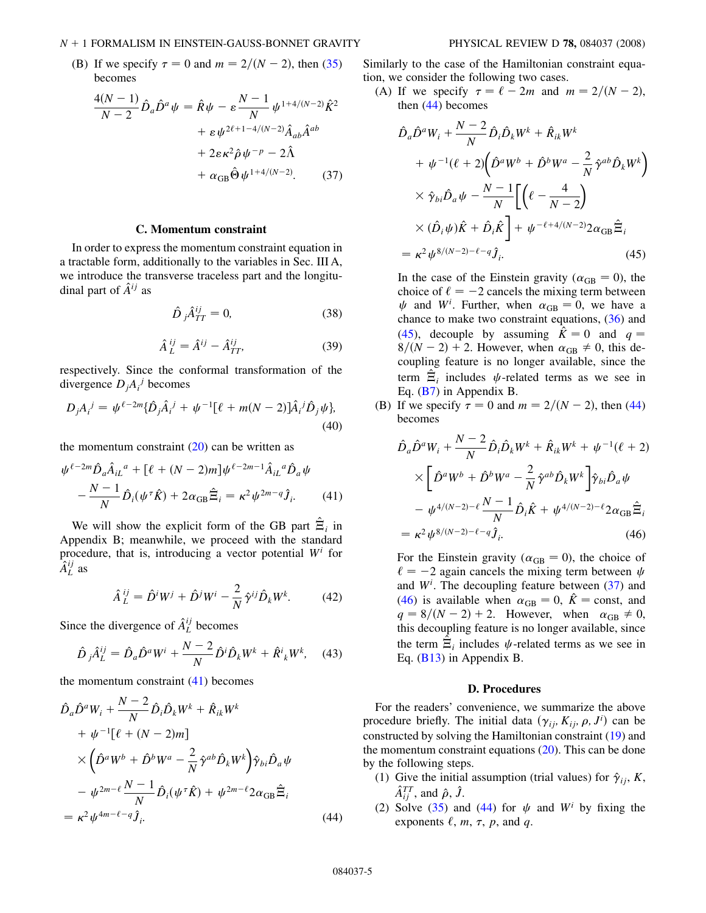## $N + 1$  FORMALISM IN EINSTEIN-GAUSS-BONNET GRAVITY PHYSICAL REVIEW D 78, 084037 (2008)

<span id="page-4-3"></span>(B) If we specify  $\tau = 0$  and  $m = 2/(N - 2)$ , then [\(35\)](#page-3-0) becomes

$$
\frac{4(N-1)}{N-2} \hat{D}_a \hat{D}^a \psi = \hat{R} \psi - \varepsilon \frac{N-1}{N} \psi^{1+4/(N-2)} \hat{K}^2 \n+ \varepsilon \psi^{2\ell+1-4/(N-2)} \hat{A}_{ab} \hat{A}^{ab} \n+ 2\varepsilon \kappa^2 \hat{\rho} \psi^{-p} - 2\hat{\Lambda} \n+ \alpha_{GB} \hat{\Theta} \psi^{1+4/(N-2)}.
$$
\n(37)

# C. Momentum constraint

In order to express the momentum constraint equation in a tractable form, additionally to the variables in Sec. III A, we introduce the transverse traceless part and the longitudinal part of  $\hat{A}^{ij}$  as

$$
\hat{D}_j \hat{A}_{TT}^{ij} = 0,\t(38)
$$

$$
\hat{A}_L^{ij} = \hat{A}^{ij} - \hat{A}_{TT}^{ij},\tag{39}
$$

respectively. Since the conformal transformation of the divergence  $D_j A_i^j$  becomes

$$
D_j A_i^j = \psi^{\ell - 2m} {\{\hat{D}_j \hat{A}_i^j + \psi^{-1} [\ell + m(N - 2)] \hat{A}_i^j \hat{D}_j \psi \}},
$$
\n(40)

<span id="page-4-0"></span>the momentum constraint  $(20)$  $(20)$  can be written as

$$
\psi^{\ell-2m} \hat{D}_a \hat{A}_{iL}^{\ \ a} + [\ell + (N-2)m] \psi^{\ell-2m-1} \hat{A}_{iL}^{\ \ a} \hat{D}_a \psi -\frac{N-1}{N} \hat{D}_i (\psi^\tau \hat{K}) + 2\alpha_{GB} \hat{\Xi}_i = \kappa^2 \psi^{2m-q} \hat{J}_i.
$$
 (41)

We will show the explicit form of the GB part  $\hat{\Xi}_i$  in Appendix B; meanwhile, we proceed with the standard procedure, that is, introducing a vector potential  $W<sup>i</sup>$  for  $\hat{A}^{ij}_L$  as

$$
\hat{A}_L^{ij} = \hat{D}^i W^j + \hat{D}^j W^i - \frac{2}{N} \hat{\gamma}^{ij} \hat{D}_k W^k.
$$
 (42)

Since the divergence of  $\hat{A}^{ij}_L$  becomes

$$
\hat{D}_j \hat{A}_L^{ij} = \hat{D}_a \hat{D}^a W^i + \frac{N-2}{N} \hat{D}^i \hat{D}_k W^k + \hat{R}^i{}_k W^k, \quad (43)
$$

<span id="page-4-1"></span>the momentum constraint  $(41)$  $(41)$  becomes

$$
\hat{D}_a \hat{D}^a W_i + \frac{N-2}{N} \hat{D}_i \hat{D}_k W^k + \hat{R}_{ik} W^k \n+ \psi^{-1} [\ell + (N-2)m] \n\times (\hat{D}^a W^b + \hat{D}^b W^a - \frac{2}{N} \hat{\gamma}^{ab} \hat{D}_k W^k) \hat{\gamma}_{bi} \hat{D}_a \psi \n- \psi^{2m-\ell} \frac{N-1}{N} \hat{D}_i (\psi^{\tau} \hat{K}) + \psi^{2m-\ell} 2 \alpha_{GB} \hat{\Xi}_i \n= \kappa^2 \psi^{4m-\ell-q} \hat{j}_i.
$$
\n(44)

Similarly to the case of the Hamiltonian constraint equation, we consider the following two cases.

<span id="page-4-2"></span>(A) If we specify  $\tau = \ell - 2m$  and  $m = 2/(N - 2)$ , then  $(44)$  $(44)$  $(44)$  becomes

$$
\hat{D}_a \hat{D}^a W_i + \frac{N-2}{N} \hat{D}_i \hat{D}_k W^k + \hat{R}_{ik} W^k \n+ \psi^{-1} (\ell+2) \left( \hat{D}^a W^b + \hat{D}^b W^a - \frac{2}{N} \hat{\gamma}^{ab} \hat{D}_k W^k \right) \n\times \hat{\gamma}_{bi} \hat{D}_a \psi - \frac{N-1}{N} \left[ \left( \ell - \frac{4}{N-2} \right) \n\times (\hat{D}_i \psi) \hat{K} + \hat{D}_i \hat{K} \right] + \psi^{-\ell+4/(N-2)} 2 \alpha_{GB} \hat{\Xi}_i \n= \kappa^2 \psi^{8/(N-2)-\ell-q} \hat{J}_i.
$$
\n(45)

In the case of the Einstein gravity ( $\alpha_{GB} = 0$ ), the choice of  $\ell = -2$  cancels the mixing term between choice of  $\ell = -2$  cancels the mixing term between  $\psi$  and  $W^i$ . Further, when  $\alpha_{GB} = 0$ , we have a chance to make two constraint equations (36) and chance to make two constraint equations,  $(36)$  $(36)$  $(36)$  and ([45](#page-4-2)), decouple by assuming  $\hat{K} = 0$  and  $q =$  $8/(N-2) + 2$ . However, when  $\alpha_{\text{GB}} \neq 0$ , this decoupling feature is no longer available, since the coupling feature is no longer available, since the term  $\Xi_i$  includes  $\psi$ -related terms as we see in Eq. ([B7](#page-10-0)) in Appendix B.

<span id="page-4-4"></span>(B) If we specify  $\tau = 0$  and  $m = 2/(N - 2)$ , then [\(44\)](#page-4-1) becomes

$$
\hat{D}_a \hat{D}^a W_i + \frac{N-2}{N} \hat{D}_i \hat{D}_k W^k + \hat{R}_{ik} W^k + \psi^{-1} (\ell + 2)
$$
\n
$$
\times \left[ \hat{D}^a W^b + \hat{D}^b W^a - \frac{2}{N} \hat{\gamma}^{ab} \hat{D}_k W^k \right] \hat{\gamma}_{bi} \hat{D}_a \psi
$$
\n
$$
- \psi^{4/(N-2)-\ell} \frac{N-1}{N} \hat{D}_i \hat{K} + \psi^{4/(N-2)-\ell} 2 \alpha_{GB} \hat{\Xi}_i
$$
\n
$$
= \kappa^2 \psi^{8/(N-2)-\ell-q} \hat{J}_i.
$$
\n(46)

For the Einstein gravity ( $\alpha_{GB} = 0$ ), the choice of  $\ell = -2$  again cancels the mixing term between  $\mu$  $\ell = -2$  again cancels the mixing term between  $\psi$ and  $W<sup>i</sup>$ . The decoupling feature between [\(37\)](#page-4-3) and [\(46\)](#page-4-4) is available when  $\alpha_{GB} = 0$ ,  $\hat{K} = \text{const}$ , and  $a = 8/(N - 2) + 2$ . However, when  $\alpha_{GB} \neq 0$  $q = 8/(N - 2) + 2$ . However, when  $\alpha_{GB} \neq 0$ ,<br>this decoupling feature is no longer available since this decoupling feature is no longer available, since the term  $\hat{\Xi}_i$  includes  $\psi$ -related terms as we see in Eq. [\(B13\)](#page-11-0) in Appendix B.

# D. Procedures

For the readers' convenience, we summarize the above procedure briefly. The initial data  $(\gamma_{ij}, K_{ij}, \rho, J^i)$  can be constructed by solving the Hamiltonian constraint (10) and constructed by solving the Hamiltonian constraint ([19](#page-2-1)) and the momentum constraint equations  $(20)$ . This can be done by the following steps.

- (1) Give the initial assumption (trial values) for  $\hat{\gamma}_{ii}$ , K,  $\hat{A}^{TT}_{ij}$ , and  $\hat{\rho}$ ,  $\hat{J}$ .
- (2) Solve ([35](#page-3-0)) and ([44](#page-4-1)) for  $\psi$  and W<sup>i</sup> by fixing the exponents  $\ell$ ,  $m$ ,  $\tau$ ,  $p$ , and  $q$ .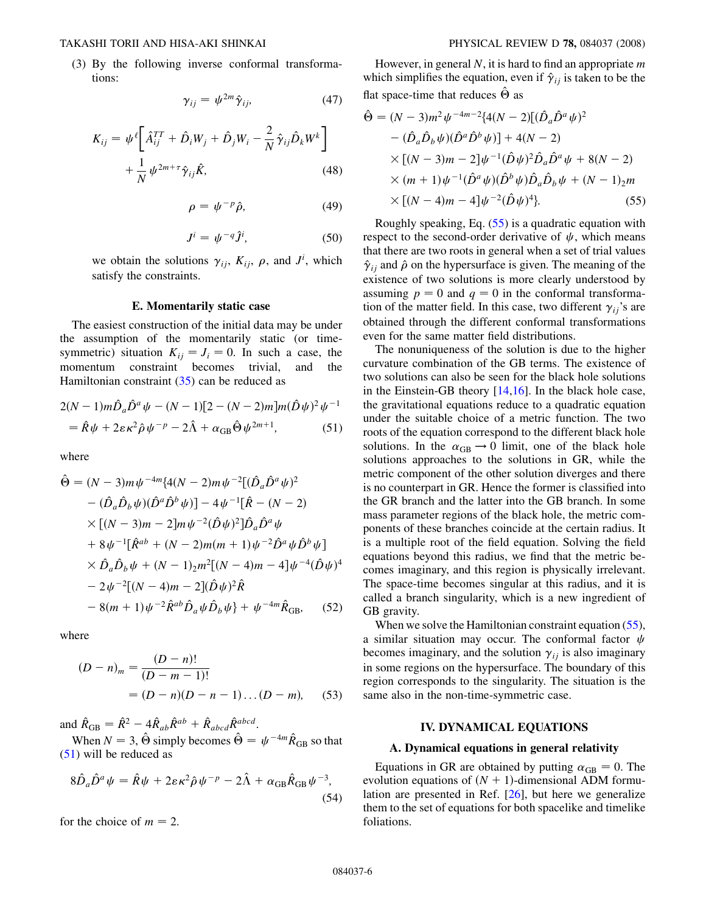(3) By the following inverse conformal transformations:

$$
\gamma_{ij} = \psi^{2m} \hat{\gamma}_{ij}, \qquad (47)
$$

$$
K_{ij} = \psi^{\ell} \bigg[ \hat{A}_{ij}^{TT} + \hat{D}_i W_j + \hat{D}_j W_i - \frac{2}{N} \hat{\gamma}_{ij} \hat{D}_k W^k \bigg] + \frac{1}{N} \psi^{2m + \tau} \hat{\gamma}_{ij} \hat{K},
$$
\n(48)

$$
\rho = \psi^{-p}\hat{\rho},\tag{49}
$$

$$
J^i = \psi^{-q} \hat{J}^i, \tag{50}
$$

we obtain the solutions  $\gamma_{ij}$ ,  $K_{ij}$ ,  $\rho$ , and  $J^i$ , which satisfy the constraints.

## E. Momentarily static case

The easiest construction of the initial data may be under the assumption of the momentarily static (or timesymmetric) situation  $K_{ij} = J_i = 0$ . In such a case, the momentum constraint becomes trivial, and the momentum constraint becomes trivial, Hamiltonian constraint  $(35)$  can be reduced as

<span id="page-5-0"></span>
$$
2(N-1)m\hat{D}_a\hat{D}^a\psi - (N-1)[2 - (N-2)m]m(\hat{D}\psi)^2\psi^{-1}
$$
  
=  $\hat{R}\psi + 2\varepsilon\kappa^2\hat{\rho}\psi^{-p} - 2\hat{\Lambda} + \alpha_{GB}\hat{\Theta}\psi^{2m+1}$ , (51)

where

$$
\hat{\Theta} = (N-3)m\psi^{-4m}\{4(N-2)m\psi^{-2}[(\hat{D}_a\hat{D}^a\psi)^2 - (\hat{D}_a\hat{D}_b\psi)(\hat{D}^a\hat{D}^b\psi)] - 4\psi^{-1}[\hat{R} - (N-2) \times [(N-3)m - 2]m\psi^{-2}(\hat{D}\psi)^2]\hat{D}_a\hat{D}^a\psi \n+ 8\psi^{-1}[\hat{R}^{ab} + (N-2)m(m+1)\psi^{-2}\hat{D}^a\psi\hat{D}^b\psi] \times \hat{D}_a\hat{D}_b\psi + (N-1)_2m^2[(N-4)m - 4]\psi^{-4}(\hat{D}\psi)^4 \n- 2\psi^{-2}[(N-4)m - 2](\hat{D}\psi)^2\hat{R} \n- 8(m+1)\psi^{-2}\hat{R}^{ab}\hat{D}_a\psi\hat{D}_b\psi\} + \psi^{-4m}\hat{R}_{GB}, \quad (52)
$$

where

$$
(D - n)m = \frac{(D - n)!}{(D - m - 1)!}
$$
  
= (D - n)(D - n - 1)...(D - m), (53)

and  $\hat{R}_{GB} = \hat{R}^2 - 4\hat{R}_{ab}\hat{R}^{ab} + \hat{R}_{abcd}\hat{R}^{abcd}$ .<br>When  $N = 3$ ,  $\hat{\Theta}$  simply becomes  $\hat{\Theta}$ 

When  $N = 3$ ,  $\hat{\Theta}$  simply becomes  $\hat{\Theta} = \psi^{-4m} \hat{R}_{GB}$  so that <br>U will be reduced as [\(51\)](#page-5-0) will be reduced as

$$
8\hat{D}_a\hat{D}^a\psi = \hat{R}\psi + 2\varepsilon\kappa^2\hat{\rho}\psi^{-p} - 2\hat{\Lambda} + \alpha_{\text{GB}}\hat{R}_{\text{GB}}\psi^{-3},
$$
\n(54)

for the choice of  $m = 2$ .

However, in general  $N$ , it is hard to find an appropriate  $m$ which simplifies the equation, even if  $\hat{\gamma}_{ij}$  is taken to be the flat space-time that reduces  $\hat{\Theta}$  as

<span id="page-5-1"></span>
$$
\hat{\Theta} = (N-3)m^2 \psi^{-4m-2} \{ 4(N-2) [(\hat{D}_a \hat{D}^a \psi)^2
$$
  
–  $(\hat{D}_a \hat{D}_b \psi) (\hat{D}^a \hat{D}^b \psi)] + 4(N-2)$   
×  $[(N-3)m - 2] \psi^{-1} (\hat{D} \psi)^2 \hat{D}_a \hat{D}^a \psi + 8(N-2)$   
×  $(m+1) \psi^{-1} (\hat{D}^a \psi) (\hat{D}^b \psi) \hat{D}_a \hat{D}_b \psi + (N-1)_2 m$   
×  $[(N-4)m - 4] \psi^{-2} (\hat{D} \psi)^4 \}$ . (55)

Roughly speaking, Eq. [\(55\)](#page-5-1) is a quadratic equation with respect to the second-order derivative of  $\psi$ , which means that there are two roots in general when a set of trial values  $\hat{\gamma}_{ij}$  and  $\hat{\rho}$  on the hypersurface is given. The meaning of the existence of two solutions is more clearly understood by assuming  $p = 0$  and  $q = 0$  in the conformal transformation of the matter field. In this case, two different  $\gamma_{ii}$ 's are obtained through the different conformal transformations even for the same matter field distributions.

The nonuniqueness of the solution is due to the higher curvature combination of the GB terms. The existence of two solutions can also be seen for the black hole solutions in the Einstein-GB theory  $[14,16]$ . In the black hole case, the gravitational equations reduce to a quadratic equation under the suitable choice of a metric function. The two roots of the equation correspond to the different black hole solutions. In the  $\alpha_{GB} \rightarrow 0$  limit, one of the black hole<br>solutions approaches to the solutions in GR, while the solutions approaches to the solutions in GR, while the metric component of the other solution diverges and there is no counterpart in GR. Hence the former is classified into the GR branch and the latter into the GB branch. In some mass parameter regions of the black hole, the metric components of these branches coincide at the certain radius. It is a multiple root of the field equation. Solving the field equations beyond this radius, we find that the metric becomes imaginary, and this region is physically irrelevant. The space-time becomes singular at this radius, and it is called a branch singularity, which is a new ingredient of GB gravity.

When we solve the Hamiltonian constraint equation ([55\)](#page-5-1), a similar situation may occur. The conformal factor  $\psi$ becomes imaginary, and the solution  $\gamma_{ii}$  is also imaginary in some regions on the hypersurface. The boundary of this region corresponds to the singularity. The situation is the same also in the non-time-symmetric case.

#### IV. DYNAMICAL EQUATIONS

## A. Dynamical equations in general relativity

Equations in GR are obtained by putting  $\alpha_{GB} = 0$ . The obtained  $\alpha_{GB} = 0$ . evolution equations of  $(N + 1)$ -dimensional ADM formulation are presented in Ref. [26], but here we generalize them to the set of equations for both spacelike and timelike foliations.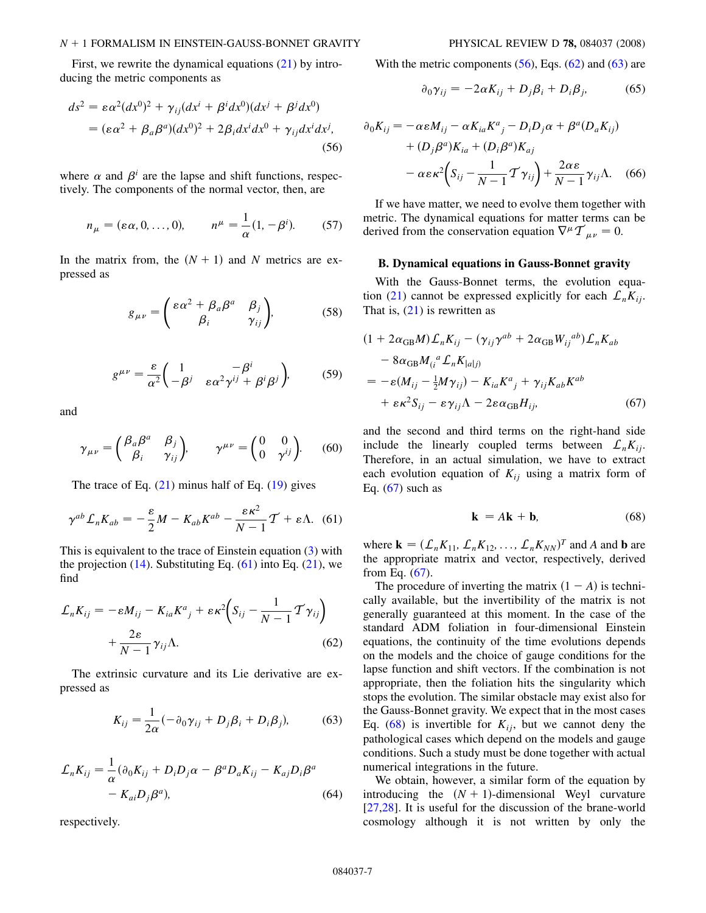### $N + 1$  FORMALISM IN EINSTEIN-GAUSS-BONNET GRAVITY PHYSICAL REVIEW D 78, 084037 (2008)

<span id="page-6-1"></span>First, we rewrite the dynamical equations ([21\)](#page-2-0) by introducing the metric components as

$$
ds^{2} = \varepsilon \alpha^{2} (dx^{0})^{2} + \gamma_{ij} (dx^{i} + \beta^{i} dx^{0}) (dx^{j} + \beta^{j} dx^{0})
$$
  
=  $(\varepsilon \alpha^{2} + \beta_{a} \beta^{a}) (dx^{0})^{2} + 2\beta_{i} dx^{i} dx^{0} + \gamma_{ij} dx^{i} dx^{j},$  (56)

where  $\alpha$  and  $\beta^i$  are the lapse and shift functions, respectively. The components of the normal vector, then, are

$$
n_{\mu} = (\varepsilon \alpha, 0, \dots, 0), \qquad n^{\mu} = \frac{1}{\alpha} (1, -\beta^{i}). \tag{57}
$$

In the matrix from, the  $(N + 1)$  and N metrics are expressed as

$$
g_{\mu\nu} = \begin{pmatrix} \varepsilon \alpha^2 + \beta_a \beta^a & \beta_j \\ \beta_i & \gamma_{ij} \end{pmatrix}, \tag{58}
$$

$$
g^{\mu\nu} = \frac{\varepsilon}{\alpha^2} \left( \frac{1}{-\beta^j} \frac{-\beta^i}{\varepsilon \alpha^2 \gamma^{ij} + \beta^i \beta^j} \right), \tag{59}
$$

and

$$
\gamma_{\mu\nu} = \begin{pmatrix} \beta_a \beta^a & \beta_j \\ \beta_i & \gamma_{ij} \end{pmatrix}, \qquad \gamma^{\mu\nu} = \begin{pmatrix} 0 & 0 \\ 0 & \gamma^{ij} \end{pmatrix}. \tag{60}
$$

<span id="page-6-0"></span>The trace of Eq.  $(21)$  $(21)$  $(21)$  minus half of Eq.  $(19)$  gives

$$
\gamma^{ab} \mathcal{L}_n K_{ab} = -\frac{\varepsilon}{2} M - K_{ab} K^{ab} - \frac{\varepsilon \kappa^2}{N - 1} \mathcal{T} + \varepsilon \Lambda. \tag{61}
$$

<span id="page-6-2"></span>This is equivalent to the trace of Einstein equation [\(3](#page-1-1)) with the projection  $(14)$ . Substituting Eq.  $(61)$  into Eq.  $(21)$  $(21)$  $(21)$ , we find

$$
\mathcal{L}_n K_{ij} = -\varepsilon M_{ij} - K_{ia} K^a{}_j + \varepsilon \kappa^2 \bigg( S_{ij} - \frac{1}{N-1} \mathcal{T} \gamma_{ij} \bigg) + \frac{2\varepsilon}{N-1} \gamma_{ij} \Lambda.
$$
\n(62)

The extrinsic curvature and its Lie derivative are expressed as

$$
K_{ij} = \frac{1}{2\alpha}(-\partial_0 \gamma_{ij} + D_j \beta_i + D_i \beta_j),\tag{63}
$$

$$
\mathcal{L}_n K_{ij} = \frac{1}{\alpha} (\partial_0 K_{ij} + D_i D_j \alpha - \beta^a D_a K_{ij} - K_{aj} D_i \beta^a
$$
  
-  $K_{ai} D_j \beta^a$ , (64)

respectively.

With the metric components  $(56)$  $(56)$  $(56)$ , Eqs.  $(62)$  and  $(63)$  are

$$
\partial_0 \gamma_{ij} = -2\alpha K_{ij} + D_j \beta_i + D_i \beta_j, \tag{65}
$$

$$
\partial_0 K_{ij} = -\alpha \varepsilon M_{ij} - \alpha K_{ia} K^a{}_j - D_i D_j \alpha + \beta^a (D_a K_{ij})
$$
  
+ 
$$
(D_j \beta^a) K_{ia} + (D_i \beta^a) K_{aj}
$$
  
- 
$$
\alpha \varepsilon \kappa^2 \left( S_{ij} - \frac{1}{N-1} \mathcal{T} \gamma_{ij} \right) + \frac{2 \alpha \varepsilon}{N-1} \gamma_{ij} \Lambda. \quad (66)
$$

If we have matter, we need to evolve them together with metric. The dynamical equations for matter terms can be derived from the conservation equation  $\nabla^{\mu} \mathcal{T}_{\mu\nu} = 0$ .

## B. Dynamical equations in Gauss-Bonnet gravity

<span id="page-6-3"></span>With the Gauss-Bonnet terms, the evolution equa-tion ([21](#page-2-0)) cannot be expressed explicitly for each  $\mathcal{L}_n K_{ij}$ . That is,  $(21)$  is rewritten as

$$
(1 + 2\alpha_{GB}M)\mathcal{L}_nK_{ij} - (\gamma_{ij}\gamma^{ab} + 2\alpha_{GB}W_{ij}^{ab})\mathcal{L}_nK_{ab}
$$
  
\n
$$
- 8\alpha_{GB}M_{(i}{}^a\mathcal{L}_nK_{|a|j)}
$$
  
\n
$$
= -\varepsilon(M_{ij} - \frac{1}{2}M\gamma_{ij}) - K_{ia}K^a{}_j + \gamma_{ij}K_{ab}K^{ab}
$$
  
\n
$$
+ \varepsilon\kappa^2S_{ij} - \varepsilon\gamma_{ij}\Lambda - 2\varepsilon\alpha_{GB}H_{ij},
$$
\n(67)

<span id="page-6-4"></span>and the second and third terms on the right-hand side include the linearly coupled terms between  $\mathcal{L}_n K_{ij}$ . Therefore, in an actual simulation, we have to extract each evolution equation of  $K_{ii}$  using a matrix form of Eq.  $(67)$  $(67)$  $(67)$  such as

$$
\mathbf{k} = A\mathbf{k} + \mathbf{b},\tag{68}
$$

where  $\mathbf{k} = (\mathcal{L}_n K_{11}, \mathcal{L}_n K_{12}, \dots, \mathcal{L}_n K_{NN})^T$  and A and b are<br>the appropriate matrix and vector respectively derived the appropriate matrix and vector, respectively, derived from Eq.  $(67)$ .

The procedure of inverting the matrix  $(1 - A)$  is technically available, but the invertibility of the matrix is not generally guaranteed at this moment. In the case of the standard ADM foliation in four-dimensional Einstein equations, the continuity of the time evolutions depends on the models and the choice of gauge conditions for the lapse function and shift vectors. If the combination is not appropriate, then the foliation hits the singularity which stops the evolution. The similar obstacle may exist also for the Gauss-Bonnet gravity. We expect that in the most cases Eq. ([68](#page-6-4)) is invertible for  $K_{ij}$ , but we cannot deny the pathological cases which depend on the models and gauge conditions. Such a study must be done together with actual numerical integrations in the future.

We obtain, however, a similar form of the equation by introducing the  $(N + 1)$ -dimensional Weyl curvature [27,28]. It is useful for the discussion of the brane-world cosmology although it is not written by only the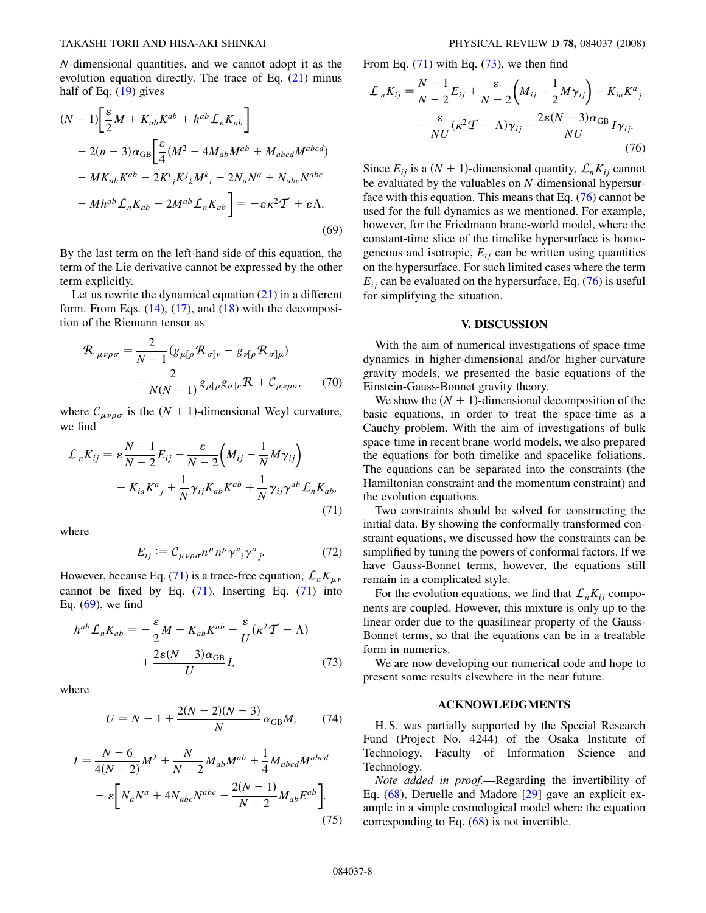N-dimensional quantities, and we cannot adopt it as the evolution equation directly. The trace of Eq. [\(21\)](#page-2-0) minus half of Eq. ([19](#page-2-1)) gives

<span id="page-7-1"></span>
$$
(N-1)\left[\frac{\varepsilon}{2}M + K_{ab}K^{ab} + h^{ab}\mathcal{L}_{n}K_{ab}\right]
$$
  
+ 2(n-3)\alpha\_{GB}\left[\frac{\varepsilon}{4}(M^{2} - 4M\_{ab}M^{ab} + M\_{abcd}M^{abcd}) + MK\_{ab}K^{ab} - 2K^{i}\_{j}K^{j}\_{k}M^{k}\_{i} - 2N\_{a}N^{a} + N\_{abc}N^{abc} + Mh^{ab}\mathcal{L}\_{n}K\_{ab} - 2M^{ab}\mathcal{L}\_{n}K\_{ab}\right] = -\varepsilon\kappa^{2}T + \varepsilon\Lambda.  
(69)

By the last term on the left-hand side of this equation, the term of the Lie derivative cannot be expressed by the other term explicitly.

Let us rewrite the dynamical equation  $(21)$  $(21)$  $(21)$  in a different form. From Eqs.  $(14)$  $(14)$  $(14)$ ,  $(17)$  $(17)$  $(17)$ , and  $(18)$  with the decomposition of the Riemann tensor as

$$
\mathcal{R}_{\mu\nu\rho\sigma} = \frac{2}{N-1} (g_{\mu[\rho} \mathcal{R}_{\sigma]\nu} - g_{\nu[\rho} \mathcal{R}_{\sigma]\mu}) - \frac{2}{N(N-1)} g_{\mu[\rho} g_{\sigma]\nu} \mathcal{R} + C_{\mu\nu\rho\sigma}, \qquad (70)
$$

where  $\mathcal{C}_{\mu\nu\rho\sigma}$  is the  $(N + 1)$ -dimensional Weyl curvature, we find

<span id="page-7-0"></span>
$$
\mathcal{L}_n K_{ij} = \varepsilon \frac{N-1}{N-2} E_{ij} + \frac{\varepsilon}{N-2} \left( M_{ij} - \frac{1}{N} M \gamma_{ij} \right)
$$

$$
- K_{ia} K^a{}_j + \frac{1}{N} \gamma_{ij} K_{ab} K^{ab} + \frac{1}{N} \gamma_{ij} \gamma^{ab} L_n K_{ab}, \tag{71}
$$

where

$$
E_{ij} := \mathcal{C}_{\mu\nu\rho\sigma} n^{\mu} n^{\rho} \gamma^{\nu}{}_{i} \gamma^{\sigma}{}_{j}. \tag{72}
$$

However, because Eq. ([71](#page-7-0)) is a trace-free equation,  $\mathcal{L}_n K_{\mu\nu}$ cannot be fixed by Eq.  $(71)$ . Inserting Eq.  $(71)$  $(71)$  into Eq. ([69](#page-7-1)), we find

<span id="page-7-2"></span>
$$
h^{ab} \mathcal{L}_n K_{ab} = -\frac{\varepsilon}{2} M - K_{ab} K^{ab} - \frac{\varepsilon}{U} (\kappa^2 T - \Lambda)
$$

$$
+ \frac{2\varepsilon (N - 3)\alpha_{GB}}{U} I, \qquad (73)
$$

where

$$
U = N - 1 + \frac{2(N - 2)(N - 3)}{N} \alpha_{GB} M, \qquad (74)
$$

$$
I = \frac{N-6}{4(N-2)}M^2 + \frac{N}{N-2}M_{ab}M^{ab} + \frac{1}{4}M_{abcd}M^{abcd}
$$

$$
- \varepsilon \bigg[N_a N^a + 4N_{abc}N^{abc} - \frac{2(N-1)}{N-2}M_{ab}E^{ab}\bigg].
$$
(75)

<span id="page-7-3"></span>From Eq.  $(71)$  with Eq.  $(73)$  $(73)$  $(73)$ , we then find

$$
\mathcal{L}_n K_{ij} = \frac{N-1}{N-2} E_{ij} + \frac{\varepsilon}{N-2} \left( M_{ij} - \frac{1}{2} M \gamma_{ij} \right) - K_{ia} K^a{}_j
$$

$$
- \frac{\varepsilon}{NU} (\kappa^2 T - \Lambda) \gamma_{ij} - \frac{2\varepsilon (N-3) \alpha_{GB}}{NU} I \gamma_{ij}.
$$
(76)

Since  $E_{ij}$  is a  $(N + 1)$ -dimensional quantity,  $\mathcal{L}_n K_{ij}$  cannot be evaluated by the valuables on N-dimensional hypersurface with this equation. This means that Eq. [\(76\)](#page-7-3) cannot be used for the full dynamics as we mentioned. For example, however, for the Friedmann brane-world model, where the constant-time slice of the timelike hypersurface is homogeneous and isotropic,  $E_{ij}$  can be written using quantities on the hypersurface. For such limited cases where the term  $E_{ii}$  can be evaluated on the hypersurface, Eq. ([76](#page-7-3)) is useful for simplifying the situation.

# V. DISCUSSION

With the aim of numerical investigations of space-time dynamics in higher-dimensional and/or higher-curvature gravity models, we presented the basic equations of the Einstein-Gauss-Bonnet gravity theory.

We show the  $(N + 1)$ -dimensional decomposition of the basic equations, in order to treat the space-time as a Cauchy problem. With the aim of investigations of bulk space-time in recent brane-world models, we also prepared the equations for both timelike and spacelike foliations. The equations can be separated into the constraints (the Hamiltonian constraint and the momentum constraint) and the evolution equations.

Two constraints should be solved for constructing the initial data. By showing the conformally transformed constraint equations, we discussed how the constraints can be simplified by tuning the powers of conformal factors. If we have Gauss-Bonnet terms, however, the equations still remain in a complicated style.

For the evolution equations, we find that  $\mathcal{L}_nK_{ij}$  components are coupled. However, this mixture is only up to the linear order due to the quasilinear property of the Gauss-Bonnet terms, so that the equations can be in a treatable form in numerics.

We are now developing our numerical code and hope to present some results elsewhere in the near future.

#### ACKNOWLEDGMENTS

H. S. was partially supported by the Special Research Fund (Project No. 4244) of the Osaka Institute of Technology, Faculty of Information Science and Technology.

Note added in proof.—Regarding the invertibility of Eq. ([68](#page-6-4)), Deruelle and Madore [29] gave an explicit example in a simple cosmological model where the equation corresponding to Eq. ([68](#page-6-4)) is not invertible.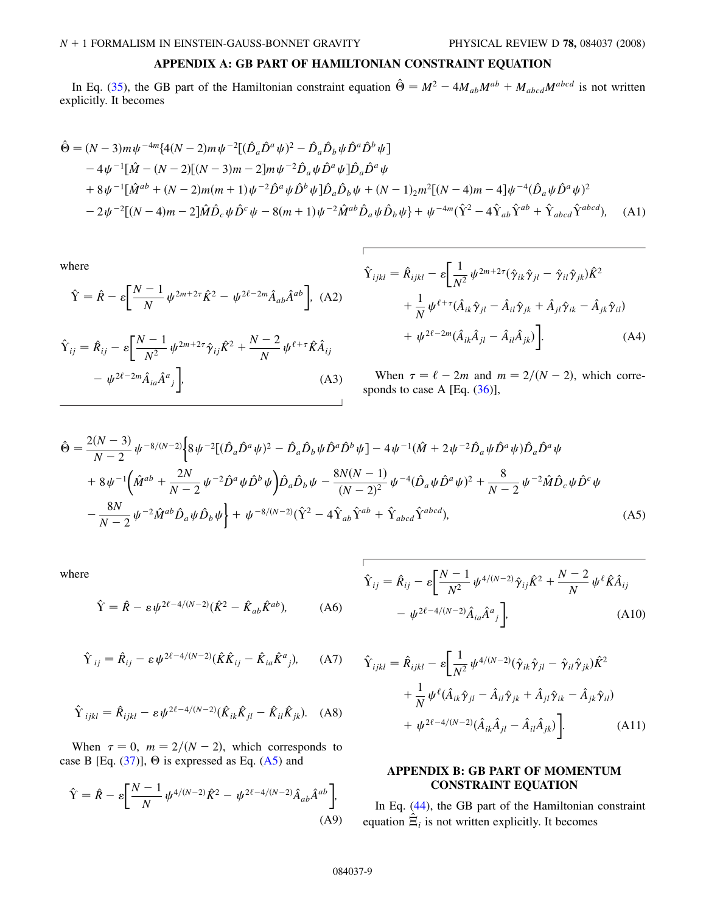# APPENDIX A: GB PART OF HAMILTONIAN CONSTRAINT EQUATION

In Eq. ([35\)](#page-3-0), the GB part of the Hamiltonian constraint equation  $\hat{\Theta} = M^2 - 4M_{ab}M^{ab} + M_{abcd}M^{abcd}$  is not written explicitly. It becomes

$$
\hat{\Theta} = (N-3)m\psi^{-4m}\{4(N-2)m\psi^{-2}[(\hat{D}_a\hat{D}^a\psi)^2 - \hat{D}_a\hat{D}_b\psi\hat{D}^a\hat{D}^b\psi]\n-4\psi^{-1}[\hat{M} - (N-2)[(N-3)m - 2]m\psi^{-2}\hat{D}_a\psi\hat{D}^a\psi]\hat{D}_a\hat{D}^a\psi\n+8\psi^{-1}[\hat{M}^{ab} + (N-2)m(m+1)\psi^{-2}\hat{D}^a\psi\hat{D}^b\psi]\hat{D}_a\hat{D}_b\psi + (N-1)_2m^2[(N-4)m - 4]\psi^{-4}(\hat{D}_a\psi\hat{D}^a\psi)^2\n-2\psi^{-2}[(N-4)m - 2]\hat{M}\hat{D}_c\psi\hat{D}^c\psi - 8(m+1)\psi^{-2}\hat{M}^{ab}\hat{D}_a\psi\hat{D}_b\psi\n+ \psi^{-4m}(\hat{Y}^2 - 4\hat{Y}_{ab}\hat{Y}^{ab} + \hat{Y}_{abcd}\hat{Y}^{abcd}), \quad (A1)
$$

where

$$
\hat{Y} = \hat{R} - \varepsilon \left[ \frac{N-1}{N} \psi^{2m+2\tau} \hat{K}^2 - \psi^{2\ell - 2m} \hat{A}_{ab} \hat{A}^{ab} \right], \text{ (A2)}
$$

$$
\hat{Y}_{ij} = \hat{R}_{ij} - \varepsilon \left[ \frac{N-1}{N^2} \psi^{2m+2\tau} \hat{\gamma}_{ij} \hat{K}^2 + \frac{N-2}{N} \psi^{\ell+\tau} \hat{K} \hat{A}_{ij} \right] - \psi^{2\ell-2m} \hat{A}_{ia} \hat{A}^a{}_j \bigg],
$$
\n(A3)

$$
\hat{Y}_{ijkl} = \hat{R}_{ijkl} - \varepsilon \left[ \frac{1}{N^2} \psi^{2m+2\tau} (\hat{\gamma}_{ik} \hat{\gamma}_{jl} - \hat{\gamma}_{il} \hat{\gamma}_{jk}) \hat{K}^2 + \frac{1}{N} \psi^{\ell+\tau} (\hat{A}_{ik} \hat{\gamma}_{jl} - \hat{A}_{il} \hat{\gamma}_{jk} + \hat{A}_{jl} \hat{\gamma}_{ik} - \hat{A}_{jk} \hat{\gamma}_{il}) + \psi^{2\ell-2m} (\hat{A}_{ik} \hat{A}_{jl} - \hat{A}_{il} \hat{A}_{jk}) \right].
$$
\n(A4)

When  $\tau = \ell - 2m$  and  $m = 2/(N - 2)$ , which corresponds to case A [Eq.  $(36)$ ],

$$
\hat{\Theta} = \frac{2(N-3)}{N-2} \psi^{-8/(N-2)} \Big\{ 8 \psi^{-2} [(\hat{D}_a \hat{D}^a \psi)^2 - \hat{D}_a \hat{D}_b \psi \hat{D}^a \hat{D}^b \psi] - 4 \psi^{-1} (\hat{M} + 2 \psi^{-2} \hat{D}_a \psi \hat{D}^a \psi) \hat{D}_a \hat{D}^a \psi \n+ 8 \psi^{-1} \Big( \hat{M}^{ab} + \frac{2N}{N-2} \psi^{-2} \hat{D}^a \psi \hat{D}^b \psi \Big) \hat{D}_a \hat{D}_b \psi - \frac{8N(N-1)}{(N-2)^2} \psi^{-4} (\hat{D}_a \psi \hat{D}^a \psi)^2 + \frac{8}{N-2} \psi^{-2} \hat{M} \hat{D}_c \psi \hat{D}^c \psi \n- \frac{8N}{N-2} \psi^{-2} \hat{M}^{ab} \hat{D}_a \psi \hat{D}_b \psi \Big\} + \psi^{-8/(N-2)} (\hat{Y}^2 - 4 \hat{Y}_{ab} \hat{Y}^{ab} + \hat{Y}_{abcd} \hat{Y}^{abcd}),
$$
\n(A5)

where

$$
\hat{Y} = \hat{R} - \varepsilon \psi^{2\ell - 4/(N-2)} (\hat{K}^2 - \hat{K}_{ab} \hat{K}^{ab}), \tag{A6}
$$

$$
\hat{\Upsilon}_{ij} = \hat{R}_{ij} - \varepsilon \psi^{2\ell - 4/(N-2)} (\hat{K}\hat{K}_{ij} - \hat{K}_{ia}\hat{K}^{a}{}_{j}), \qquad (A7)
$$

$$
\hat{\Upsilon}_{ijkl} = \hat{R}_{ijkl} - \varepsilon \psi^{2\ell - 4/(N-2)} (\hat{K}_{ik}\hat{K}_{jl} - \hat{K}_{il}\hat{K}_{jk}). \quad (A8)
$$

When  $\tau = 0$ ,  $m = 2/(N - 2)$ , which corresponds to case B [Eq.  $(37)$ ],  $\Theta$  is expressed as Eq.  $(A5)$  and

$$
\hat{Y} = \hat{R} - \varepsilon \left[ \frac{N-1}{N} \psi^{4/(N-2)} \hat{K}^2 - \psi^{2\ell - 4/(N-2)} \hat{A}_{ab} \hat{A}^{ab} \right],
$$
\n(A9)

$$
\hat{Y}_{ij} = \hat{R}_{ij} - \varepsilon \left[ \frac{N-1}{N^2} \psi^{4/(N-2)} \hat{\gamma}_{ij} \hat{K}^2 + \frac{N-2}{N} \psi^{\ell} \hat{K} \hat{A}_{ij} \right] - \psi^{2\ell - 4/(N-2)} \hat{A}_{ia} \hat{A}^a{}_j \bigg],
$$
\n(A10)

$$
\hat{Y}_{ijkl} = \hat{R}_{ijkl} - \varepsilon \left[ \frac{1}{N^2} \psi^{4/(N-2)} (\hat{\gamma}_{ik} \hat{\gamma}_{jl} - \hat{\gamma}_{il} \hat{\gamma}_{jk}) \hat{K}^2 + \frac{1}{N} \psi^{\ell} (\hat{A}_{ik} \hat{\gamma}_{jl} - \hat{A}_{il} \hat{\gamma}_{jk} + \hat{A}_{jl} \hat{\gamma}_{ik} - \hat{A}_{jk} \hat{\gamma}_{il}) + \psi^{2\ell - 4/(N-2)} (\hat{A}_{ik} \hat{A}_{jl} - \hat{A}_{il} \hat{A}_{jk}) \right].
$$
\n(A11)

# APPENDIX B: GB PART OF MOMENTUM CONSTRAINT EQUATION

In Eq. [\(44\)](#page-4-1), the GB part of the Hamiltonian constraint equation  $\hat{\Xi}_i$  is not written explicitly. It becomes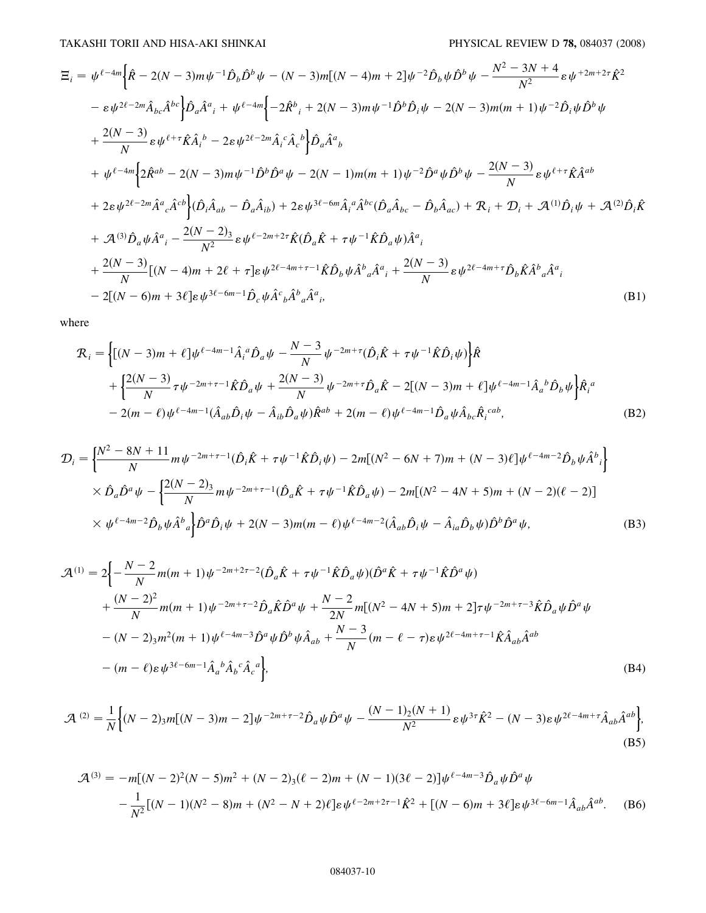$$
\Xi_{i} = \psi^{\ell-4m} \Big\{ \hat{R} - 2(N-3)m\psi^{-1} \hat{D}_{b} \hat{D}^{b} \psi - (N-3)m[(N-4)m + 2]\psi^{-2} \hat{D}_{b} \psi \hat{D}^{b} \psi - \frac{N^{2} - 3N + 4}{N^{2}} \varepsilon \psi^{+2m+2\tau} \hat{K}^{2} \Big\}
$$
  
\n
$$
- \varepsilon \psi^{2\ell-2m} \hat{A}_{bc} \hat{A}^{bc} \Big\} \hat{D}_{a} \hat{A}^{a}{}_{i} + \psi^{\ell-4m} \Big\{ -2 \hat{R}^{b}{}_{i} + 2(N-3)m\psi^{-1} \hat{D}^{b} \hat{D}_{i} \psi - 2(N-3)m(m+1)\psi^{-2} \hat{D}_{i} \psi \hat{D}^{b} \psi \Big\}
$$
  
\n
$$
+ \frac{2(N-3)}{N} \varepsilon \psi^{\ell+7} \hat{K} \hat{A}_{i}{}^{b} - 2 \varepsilon \psi^{2\ell-2m} \hat{A}_{i}{}^{c} \hat{A}_{c}{}^{b} \Big\} \hat{D}_{a} \hat{A}^{a}{}_{b}
$$
  
\n
$$
+ \psi^{\ell-4m} \Big\{ 2 \hat{R}^{ab} - 2(N-3)m\psi^{-1} \hat{D}^{b} \hat{D}^{a} \psi - 2(N-1)m(m+1)\psi^{-2} \hat{D}^{a} \psi \hat{D}^{b} \psi - \frac{2(N-3)}{N} \varepsilon \psi^{\ell+7} \hat{K} \hat{A}^{ab} \Big\}
$$
  
\n
$$
+ 2 \varepsilon \psi^{2\ell-2m} \hat{A}^{a}{}_{c} \hat{A}^{cb} \Big\} (\hat{D}_{i} \hat{A}_{ab} - \hat{D}_{a} \hat{A}_{ib}) + 2 \varepsilon \psi^{3\ell-6m} \hat{A}_{i}{}^{a} \hat{A}^{bc} (\hat{D}_{a} \hat{A}_{bc} - \hat{D}_{b} \hat{A}_{ac}) + \mathcal{R}_{i} + \mathcal{D}_{i} + \mathcal{A}^{(1)} \hat{D}_{i} \psi + \mathcal{A}^{(2)} \hat{D}_{i} \hat{K} \Big
$$

where

$$
\mathcal{R}_{i} = \left\{ \left[ (N-3)m + \ell \right] \psi^{\ell-4m-1} \hat{A}_{i}{}^{a} \hat{D}_{a} \psi - \frac{N-3}{N} \psi^{-2m+\tau} (\hat{D}_{i} \hat{K} + \tau \psi^{-1} \hat{K} \hat{D}_{i} \psi) \right\} \hat{R} \n+ \left\{ \frac{2(N-3)}{N} \tau \psi^{-2m+\tau-1} \hat{K} \hat{D}_{a} \psi + \frac{2(N-3)}{N} \psi^{-2m+\tau} \hat{D}_{a} \hat{K} - 2[(N-3)m + \ell] \psi^{\ell-4m-1} \hat{A}_{a}{}^{b} \hat{D}_{b} \psi \right\} \hat{R}_{i}{}^{a} \n- 2(m-\ell) \psi^{\ell-4m-1} (\hat{A}_{ab} \hat{D}_{i} \psi - \hat{A}_{ib} \hat{D}_{a} \psi) \hat{R}^{ab} + 2(m-\ell) \psi^{\ell-4m-1} \hat{D}_{a} \psi \hat{A}_{bc} \hat{R}_{i}{}^{cab},
$$
\n(B2)

$$
\mathcal{D}_{i} = \left\{ \frac{N^{2} - 8N + 11}{N} m \psi^{-2m + \tau - 1} (\hat{D}_{i} \hat{K} + \tau \psi^{-1} \hat{K} \hat{D}_{i} \psi) - 2m [(N^{2} - 6N + 7)m + (N - 3)\ell] \psi^{\ell - 4m - 2} \hat{D}_{b} \psi \hat{A}^{b}{}_{i} \right\}
$$
  
 
$$
\times \hat{D}_{a} \hat{D}^{a} \psi - \left\{ \frac{2(N - 2)_{3}}{N} m \psi^{-2m + \tau - 1} (\hat{D}_{a} \hat{K} + \tau \psi^{-1} \hat{K} \hat{D}_{a} \psi) - 2m [(N^{2} - 4N + 5)m + (N - 2)(\ell - 2)] \right\}
$$
  
 
$$
\times \psi^{\ell - 4m - 2} \hat{D}_{b} \psi \hat{A}^{b}{}_{a} \right\} \hat{D}^{a} \hat{D}_{i} \psi + 2(N - 3)m (m - \ell) \psi^{\ell - 4m - 2} (\hat{A}_{ab} \hat{D}_{i} \psi - \hat{A}_{ia} \hat{D}_{b} \psi) \hat{D}^{b} \hat{D}^{a} \psi, \tag{B3}
$$

$$
\mathcal{A}^{(1)} = 2 \Biggl\{ -\frac{N-2}{N} m(m+1) \psi^{-2m+2\tau-2} (\hat{D}_a \hat{K} + \tau \psi^{-1} \hat{K} \hat{D}_a \psi) (\hat{D}^a \hat{K} + \tau \psi^{-1} \hat{K} \hat{D}^a \psi) + \frac{(N-2)^2}{N} m(m+1) \psi^{-2m+\tau-2} \hat{D}_a \hat{K} \hat{D}^a \psi + \frac{N-2}{2N} m[(N^2 - 4N + 5) m + 2] \tau \psi^{-2m+\tau-3} \hat{K} \hat{D}_a \psi \hat{D}^a \psi - (N-2)_{3} m^2 (m+1) \psi^{\ell-4m-3} \hat{D}^a \psi \hat{D}^b \psi \hat{A}_{ab} + \frac{N-3}{N} (m - \ell - \tau) \varepsilon \psi^{2\ell-4m+\tau-1} \hat{K} \hat{A}_{ab} \hat{A}^{ab} - (m - \ell) \varepsilon \psi^{3\ell-6m-1} \hat{A}_a{}^b \hat{A}_b{}^c \hat{A}_c{}^a \Biggr\},
$$
\n(B4)

$$
\mathcal{A}^{(2)} = \frac{1}{N} \Big\{ (N-2)_{3} m [(N-3)m - 2] \psi^{-2m+\tau-2} \hat{D}_a \psi \hat{D}^a \psi - \frac{(N-1)_{2}(N+1)}{N^2} \varepsilon \psi^{3\tau} \hat{K}^2 - (N-3) \varepsilon \psi^{2\ell-4m+\tau} \hat{A}_{ab} \hat{A}^{ab} \Big\},\tag{B5}
$$

$$
\mathcal{A}^{(3)} = -m[(N-2)^2(N-5)m^2 + (N-2)_3(\ell-2)m + (N-1)(3\ell-2)]\psi^{\ell-4m-3}\hat{D}_a\psi\hat{D}^a\psi
$$
  
 
$$
-\frac{1}{N^2}[(N-1)(N^2-8)m + (N^2-N+2)\ell]\varepsilon\psi^{\ell-2m+2\tau-1}\hat{K}^2 + [(N-6)m+3\ell]\varepsilon\psi^{3\ell-6m-1}\hat{A}_{ab}\hat{A}^{ab}.
$$
 (B6)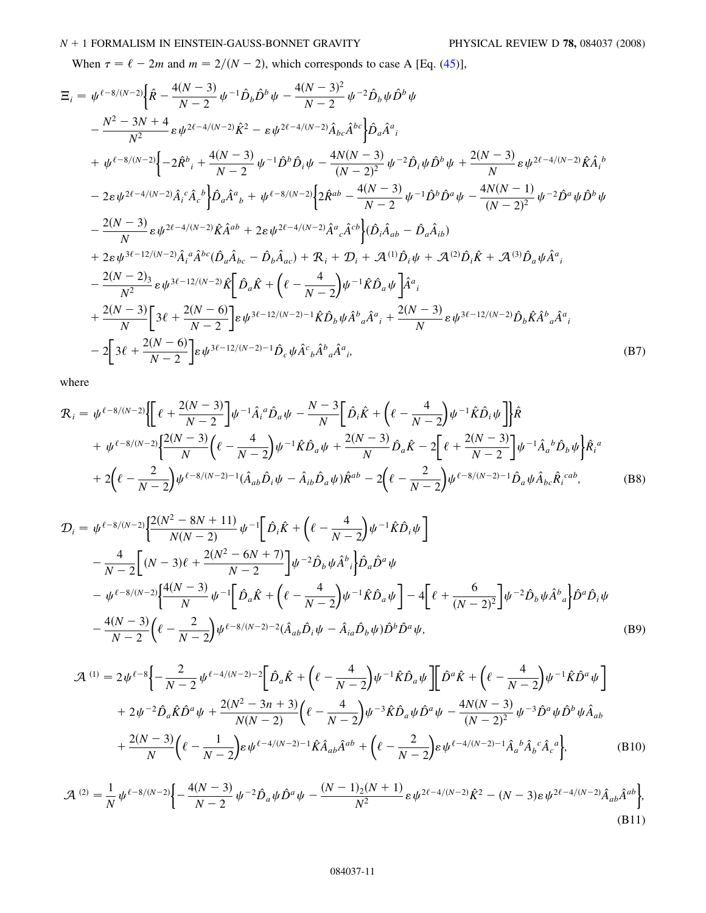# <span id="page-10-0"></span> $N + 1$  FORMALISM IN EINSTEIN-GAUSS-BONNET GRAVITY PHYSICAL REVIEW D 78, 084037 (2008)

When  $\tau = \ell - 2m$  and  $m = 2/(N - 2)$ , which corresponds to case A [Eq. ([45](#page-4-2))],

$$
\Xi_{i} = \psi^{\ell - 8/(N-2)} \Big\{ \hat{R} - \frac{4(N-3)}{N-2} \psi^{-1} \hat{D}_{b} \hat{D}^{b} \psi - \frac{4(N-3)^{2}}{N-2} \psi^{-2} \hat{D}_{b} \psi \hat{D}^{b} \psi \n- \frac{N^{2} - 3N + 4}{N^{2}} \epsilon \psi^{2\ell - 4/(N-2)} \hat{K}^{2} - \epsilon \psi^{2\ell - 4/(N-2)} \hat{A}_{bc} \hat{A}^{bc} \Big\} \hat{D}_{a} \hat{A}^{a}{}_{i} \n+ \psi^{\ell - 8/(N-2)} \Big\{ -2 \hat{R}^{b}{}_{i} + \frac{4(N-3)}{N-2} \psi^{-1} \hat{D}^{b} \hat{D}_{i} \psi - \frac{4N(N-3)}{(N-2)^{2}} \psi^{-2} \hat{D}_{i} \psi \hat{D}^{b} \psi + \frac{2(N-3)}{N} \epsilon \psi^{2\ell - 4/(N-2)} \hat{K} \hat{A}_{i}{}^{b} \n- 2 \epsilon \psi^{2\ell - 4/(N-2)} \hat{A}_{i}{}^{c} \hat{A}_{c}{}^{b} \Big\} \hat{D}_{a} \hat{A}^{a}{}_{b} + \psi^{\ell - 8/(N-2)} \Big\{ 2 \hat{R}^{ab} - \frac{4(N-3)}{N-2} \psi^{-1} \hat{D}^{b} \hat{D}^{a} \psi - \frac{4N(N-1)}{(N-2)^{2}} \psi^{-2} \hat{D}^{a} \psi \hat{D}^{b} \psi \n- \frac{2(N-3)}{N} \epsilon \psi^{2\ell - 4/(N-2)} \hat{K} \hat{A}^{ab} + 2 \epsilon \psi^{2\ell - 4/(N-2)} \hat{A}^{a}{}_{c} \hat{A}^{cb} \Big\} (\hat{D}_{i} \hat{A}_{ab} - \hat{D}_{a} \hat{A}_{ib}) \n+ 2 \epsilon \psi^{3\ell - 12/(N-2)} \hat{A}_{i}{}^{a} \hat{A}^{bc} (\hat{D}_{a} \hat{A}_{bc} - \hat{D}_{b} \hat{A}_{ac}) + \mathcal{R}_{i} + \mathcal{D}_{i} + \mathcal{A}^{(1)}
$$

 $\overline{2}$ 

where

$$
\mathcal{R}_{i} = \psi^{\ell-8/(N-2)} \Biggl\{ \Biggl[ \ell + \frac{2(N-3)}{N-2} \Biggr] \psi^{-1} \hat{A}_{i}{}^{a} \hat{D}_{a} \psi - \frac{N-3}{N} \Biggl[ \hat{D}_{i} \hat{K} + \Biggl( \ell - \frac{4}{N-2} \Biggr) \psi^{-1} \hat{K} \hat{D}_{i} \psi \Biggr] \Biggr\} \hat{R} + \psi^{\ell-8/(N-2)} \Biggl\{ \frac{2(N-3)}{N} \Biggl( \ell - \frac{4}{N-2} \Biggr) \psi^{-1} \hat{K} \hat{D}_{a} \psi + \frac{2(N-3)}{N} \hat{D}_{a} \hat{K} - 2 \Biggl[ \ell + \frac{2(N-3)}{N-2} \Biggr] \psi^{-1} \hat{A}_{a}{}^{b} \hat{D}_{b} \psi \Biggr\} \hat{R}_{i}{}^{a} + 2 \Biggl( \ell - \frac{2}{N-2} \Biggr) \psi^{\ell-8/(N-2)-1} (\hat{A}_{ab} \hat{D}_{i} \psi - \hat{A}_{ib} \hat{D}_{a} \psi) \hat{R}^{ab} - 2 \Biggl( \ell - \frac{2}{N-2} \Biggr) \psi^{\ell-8/(N-2)-1} \hat{D}_{a} \psi \hat{A}_{bc} \hat{R}_{i}{}^{cab}, \tag{B8}
$$

$$
\mathcal{D}_{i} = \psi^{\ell - 8/(N-2)} \Biggl[ \frac{2(N^{2} - 8N + 11)}{N(N-2)} \psi^{-1} \Biggl[ \hat{D}_{i} \hat{K} + \Biggl( \ell - \frac{4}{N-2} \Biggr) \psi^{-1} \hat{K} \hat{D}_{i} \psi \Biggr] \n- \frac{4}{N-2} \Biggl[ (N-3) \ell + \frac{2(N^{2} - 6N + 7)}{N-2} \Biggr] \psi^{-2} \hat{D}_{b} \psi \hat{A}^{b}{}_{i} \Biggr] \hat{D}_{a} \hat{D}^{a} \psi \n- \psi^{\ell - 8/(N-2)} \Biggl[ \frac{4(N-3)}{N} \psi^{-1} \Biggl[ \hat{D}_{a} \hat{K} + \Biggl( \ell - \frac{4}{N-2} \Biggr) \psi^{-1} \hat{K} \hat{D}_{a} \psi \Biggr] - 4 \Biggl[ \ell + \frac{6}{(N-2)^{2}} \Biggr] \psi^{-2} \hat{D}_{b} \psi \hat{A}^{b}{}_{a} \Biggr] \hat{D}^{a} \hat{D}_{i} \psi \n- \frac{4(N-3)}{N-2} \Biggl( \ell - \frac{2}{N-2} \Biggr) \psi^{\ell - 8/(N-2)-2} (\hat{A}_{ab} \hat{D}_{i} \psi - \hat{A}_{ia} \hat{D}_{b} \psi) \hat{D}^{b} \hat{D}^{a} \psi, \tag{B9}
$$

$$
\mathcal{A}^{(1)} = 2\psi^{\ell-8} \Biggl\{ -\frac{2}{N-2} \psi^{\ell-4/(N-2)-2} \Biggl[ \hat{D}_a \hat{K} + \Biggl( \ell - \frac{4}{N-2} \Biggr) \psi^{-1} \hat{K} \hat{D}_a \psi \Biggr] \Biggl[ \hat{D}^a \hat{K} + \Biggl( \ell - \frac{4}{N-2} \Biggr) \psi^{-1} \hat{K} \hat{D}^a \psi \Biggr] + 2\psi^{-2} \hat{D}_a \hat{K} \hat{D}^a \psi + \frac{2(N^2 - 3n + 3)}{N(N-2)} \Biggl( \ell - \frac{4}{N-2} \Biggr) \psi^{-3} \hat{K} \hat{D}_a \psi \hat{D}^a \psi - \frac{4N(N-3)}{(N-2)^2} \psi^{-3} \hat{D}^a \psi \hat{D}^b \psi \hat{A}_{ab} + \frac{2(N-3)}{N} \Biggl( \ell - \frac{1}{N-2} \Biggr) \epsilon \psi^{\ell-4/(N-2)-1} \hat{K} \hat{A}_{ab} \hat{A}^{ab} + \Biggl( \ell - \frac{2}{N-2} \Biggr) \epsilon \psi^{\ell-4/(N-2)-1} \hat{A}_a{}^b \hat{A}_b{}^c \hat{A}_c{}^a \Biggr], \tag{B10}
$$

$$
\mathcal{A}^{(2)} = \frac{1}{N} \psi^{\ell - 8/(N-2)} \Biggl\{ -\frac{4(N-3)}{N-2} \psi^{-2} \hat{D}_a \psi \hat{D}^a \psi - \frac{(N-1)_2(N+1)}{N^2} \varepsilon \psi^{2\ell - 4/(N-2)} \hat{K}^2 - (N-3) \varepsilon \psi^{2\ell - 4/(N-2)} \hat{A}_{ab} \hat{A}^{ab} \Biggr\},\tag{B11}
$$

# 084037-11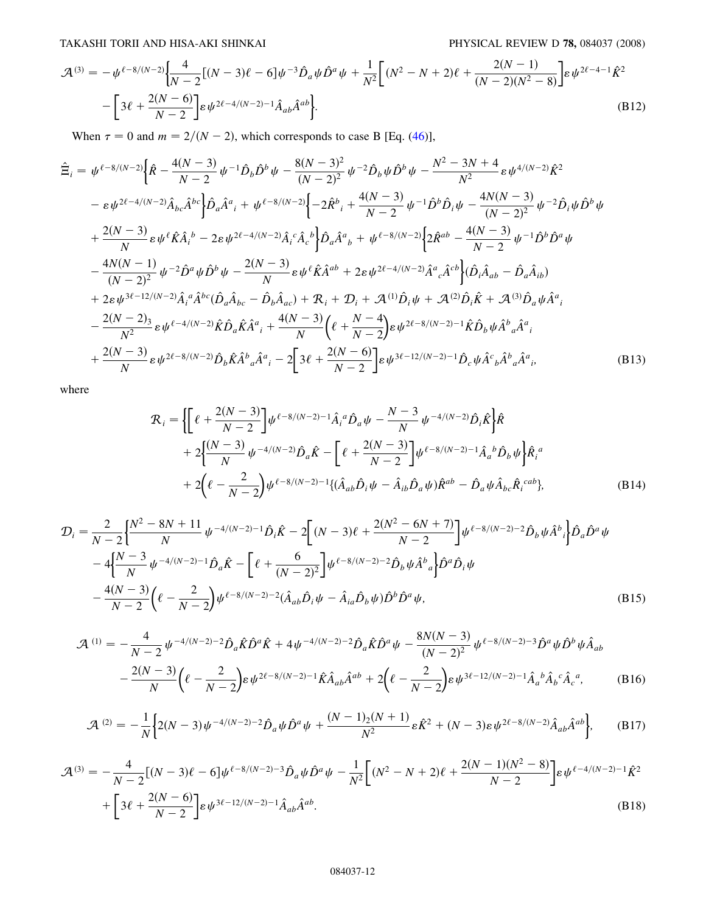<span id="page-11-0"></span>TAKASHI TORII AND HISA-AKI SHINKAI PHYSICAL REVIEW D 78, 084037 (2008)

$$
\mathcal{A}^{(3)} = -\psi^{\ell-8/(N-2)} \left\{ \frac{4}{N-2} [(N-3)\ell - 6] \psi^{-3} \hat{D}_a \psi \hat{D}^a \psi + \frac{1}{N^2} [(N^2 - N + 2)\ell + \frac{2(N-1)}{(N-2)(N^2-8)}] \varepsilon \psi^{2\ell-4-1} \hat{K}^2 - \left[ 3\ell + \frac{2(N-6)}{N-2} \right] \varepsilon \psi^{2\ell-4/(N-2)-1} \hat{A}_{ab} \hat{A}^{ab} \right\}.
$$
\n(B12)

When  $\tau = 0$  and  $m = 2/(N - 2)$ , which corresponds to case B [Eq. ([46](#page-4-4))],

$$
\hat{\Xi}_{i} = \psi^{\ell-8/(N-2)} \Big\{ \hat{R} - \frac{4(N-3)}{N-2} \psi^{-1} \hat{D}_{b} \hat{D}^{b} \psi - \frac{8(N-3)^{2}}{(N-2)^{2}} \psi^{-2} \hat{D}_{b} \psi \hat{D}^{b} \psi - \frac{N^{2}-3N+4}{N^{2}} \epsilon \psi^{4/(N-2)} \hat{K}^{2} \Big\}
$$
\n
$$
- \epsilon \psi^{2\ell-4/(N-2)} \hat{A}_{bc} \hat{A}^{bc} \Big\} \hat{D}_{a} \hat{A}^{a}{}_{i} + \psi^{\ell-8/(N-2)} \Big\{ -2 \hat{R}^{b}{}_{i} + \frac{4(N-3)}{N-2} \psi^{-1} \hat{D}^{b} \hat{D}_{i} \psi - \frac{4N(N-3)}{(N-2)^{2}} \psi^{-2} \hat{D}_{i} \psi \hat{D}^{b} \psi \Big\}
$$
\n
$$
+ \frac{2(N-3)}{N} \epsilon \psi^{\ell} \hat{K} \hat{A}{}_{i}{}^{b} - 2 \epsilon \psi^{2\ell-4/(N-2)} \hat{A}{}_{i}{}^{c} \hat{A}{}_{c}{}^{b} \Big\} \hat{D}_{a} \hat{A}^{a}{}_{b} + \psi^{\ell-8/(N-2)} \Big\{ 2 \hat{R}^{ab} - \frac{4(N-3)}{N-2} \psi^{-1} \hat{D}^{b} \hat{D}^{a} \psi \Big\}
$$
\n
$$
- \frac{4N(N-1)}{(N-2)^{2}} \psi^{-2} \hat{D}^{a} \psi \hat{D}^{b} \psi - \frac{2(N-3)}{N} \epsilon \psi^{\ell} \hat{K} \hat{A}^{ab} + 2 \epsilon \psi^{2\ell-4/(N-2)} \hat{A}^{a}{}_{c} \hat{A}^{c} \Big\} (\hat{D}_{i} \hat{A}_{ab} - \hat{D}_{a} \hat{A}_{ib})
$$
\n
$$
+ 2 \epsilon \psi^{3\ell-12/(N-2)} \hat{A}_{i}{}^{a} \hat{A}^{bc} (\hat{D}_{a} \hat{A}_{bc} - \hat{D}_{b} \hat{A}_{ac}) + \mathcal{R}_{i} + \mathcal{D}_{i} + \
$$

where

$$
\mathcal{R}_{i} = \left\{ \left[ \ell + \frac{2(N-3)}{N-2} \right] \psi^{\ell - 8/(N-2) - 1} \hat{A}_{i}{}^{a} \hat{D}_{a} \psi - \frac{N-3}{N} \psi^{-4/(N-2)} \hat{D}_{i} \hat{K} \right\} \hat{R} \n+ 2 \left\{ \frac{(N-3)}{N} \psi^{-4/(N-2)} \hat{D}_{a} \hat{K} - \left[ \ell + \frac{2(N-3)}{N-2} \right] \psi^{\ell - 8/(N-2) - 1} \hat{A}_{a}{}^{b} \hat{D}_{b} \psi \right\} \hat{R}_{i}{}^{a} \n+ 2 \left( \ell - \frac{2}{N-2} \right) \psi^{\ell - 8/(N-2) - 1} \{ (\hat{A}_{ab} \hat{D}_{i} \psi - \hat{A}_{ib} \hat{D}_{a} \psi) \hat{R}^{ab} - \hat{D}_{a} \psi \hat{A}_{bc} \hat{R}_{i}{}^{cab} \},
$$
\n(B14)

$$
\mathcal{D}_{i} = \frac{2}{N-2} \left\{ \frac{N^{2} - 8N + 11}{N} \psi^{-4/(N-2)-1} \hat{D}_{i} \hat{K} - 2 \left[ (N-3) \ell + \frac{2(N^{2} - 6N + 7)}{N-2} \right] \psi^{\ell-8/(N-2)-2} \hat{D}_{b} \psi \hat{A}^{b}{}_{i} \right\} \hat{D}_{a} \hat{D}^{a} \psi
$$

$$
-4 \left\{ \frac{N-3}{N} \psi^{-4/(N-2)-1} \hat{D}_{a} \hat{K} - \left[ \ell + \frac{6}{(N-2)^{2}} \right] \psi^{\ell-8/(N-2)-2} \hat{D}_{b} \psi \hat{A}^{b}{}_{a} \right\} \hat{D}^{a} \hat{D}_{i} \psi
$$

$$
-\frac{4(N-3)}{N-2} \left( \ell - \frac{2}{N-2} \right) \psi^{\ell-8/(N-2)-2} (\hat{A}_{ab} \hat{D}_{i} \psi - \hat{A}_{ia} \hat{D}_{b} \psi) \hat{D}^{b} \hat{D}^{a} \psi,
$$
(B15)

$$
\mathcal{A}^{(1)} = -\frac{4}{N-2} \psi^{-4/(N-2)-2} \hat{D}_a \hat{K} \hat{D}^a \hat{K} + 4 \psi^{-4/(N-2)-2} \hat{D}_a \hat{K} \hat{D}^a \psi - \frac{8N(N-3)}{(N-2)^2} \psi^{\ell-8/(N-2)-3} \hat{D}^a \psi \hat{D}^b \psi \hat{A}_{ab}
$$

$$
-\frac{2(N-3)}{N} \bigg( \ell - \frac{2}{N-2} \bigg) \varepsilon \psi^{2\ell-8/(N-2)-1} \hat{K} \hat{A}_{ab} \hat{A}^{ab} + 2 \bigg( \ell - \frac{2}{N-2} \bigg) \varepsilon \psi^{3\ell-12/(N-2)-1} \hat{A}_a{}^b \hat{A}_b{}^c \hat{A}_c{}^a, \tag{B16}
$$

$$
\mathcal{A}^{(2)} = -\frac{1}{N} \Big\{ 2(N-3)\psi^{-4/(N-2)-2} \hat{D}_a \psi \hat{D}^a \psi + \frac{(N-1)_2(N+1)}{N^2} \varepsilon \hat{K}^2 + (N-3) \varepsilon \psi^{2\ell - 8/(N-2)} \hat{A}_{ab} \hat{A}^{ab} \Big\},\tag{B17}
$$

$$
\mathcal{A}^{(3)} = -\frac{4}{N-2} [(N-3)\ell - 6] \psi^{\ell - 8/(N-2) - 3} \hat{D}_a \psi \hat{D}^a \psi - \frac{1}{N^2} \Big[ (N^2 - N + 2)\ell + \frac{2(N-1)(N^2 - 8)}{N-2} \Big] \varepsilon \psi^{\ell - 4/(N-2) - 1} \hat{K}^2 + \Big[ 3\ell + \frac{2(N-6)}{N-2} \Big] \varepsilon \psi^{3\ell - 12/(N-2) - 1} \hat{A}_{ab} \hat{A}^{ab}.
$$
\n(B18)